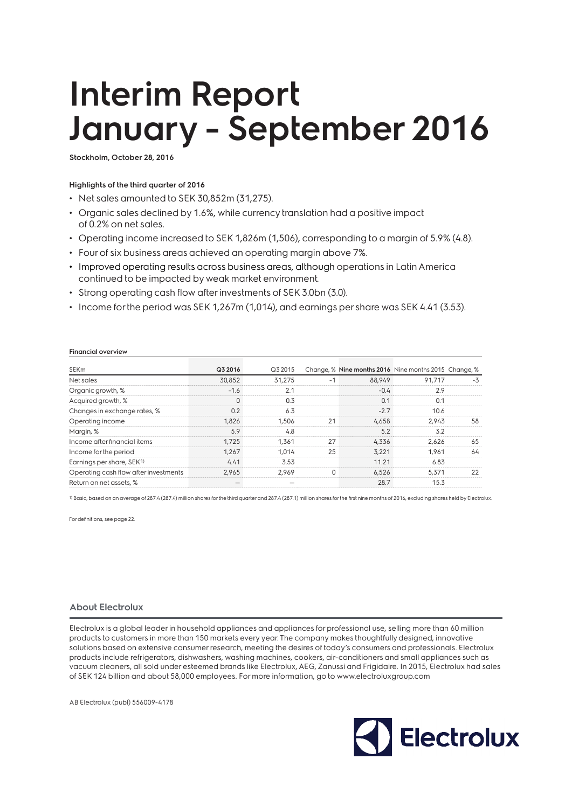# **Interim Report January - September 2016**

**Stockholm, October 28, 2016**

### **Highlights of the third quarter of 2016**

- Net sales amounted to SEK 30,852m (31,275).
- Organic sales declined by 1.6%, while currency translation had a positive impact of 0.2% on net sales.
- Operating income increased to SEK 1,826m (1,506), corresponding to a margin of 5.9% (4.8).
- Four of six business areas achieved an operating margin above 7%.
- Improved operating results across business areas, although operations in Latin America continued to be impacted by weak market environment.
- Strong operating cash flow after investments of SEK 3.0bn (3.0).
- Income for the period was SEK 1,267m (1,014), and earnings per share was SEK 4.41 (3.53).

#### **Financial overview**

| <b>SEKm</b>                           | Q3 2016  | Q3 2015 |      | Change, % Nine months 2016 Nine months 2015 Change, % |        |                  |
|---------------------------------------|----------|---------|------|-------------------------------------------------------|--------|------------------|
| Net sales                             | 30,852   | 31,275  | $-1$ | 88.949                                                | 91.717 | $-3\overline{3}$ |
| Organic growth, %                     | $-1.6$   | 2.1     |      | $-0.4$                                                | 2.9    |                  |
| Acquired growth, %                    | $\Omega$ | 0.3     |      | 0.1                                                   | 0.1    |                  |
| Changes in exchange rates, %          | 0.2      | 6.3     |      | $-2.7$                                                | 10.6   |                  |
| Operating income                      | 1.826    | 1,506   | 21   | 4,658                                                 | 2.943  | 58               |
| Margin, %                             | 5.9      | 4.8     |      | 5.2                                                   | 3.2    |                  |
| Income after financial items          | 1.725    | 1.361   | 27   | 4,336                                                 | 2.626  | 65               |
| Income for the period                 | 1.267    | 1.014   | 25   | 3.221                                                 | 1.961  | 64               |
| Earnings per share, SEK <sup>1)</sup> | 4.41     | 3.53    |      | 11.21                                                 | 6.83   |                  |
| Operating cash flow after investments | 2.965    | 2.969   | n    | 6,526                                                 | 5.371  | 22               |
| Return on net assets, %               |          |         |      | 28.7                                                  | 15.3   |                  |

1) Basic, based on an average of 287.4 (287.4) million shares for the third quarter and 287.4 (287.1) million shares for the first nine months of 2016, excluding shares held by Electrolux

For definitions, see page 22.

### **About Electrolux**

Electrolux is a global leader in household appliances and appliances for professional use, selling more than 60 million products to customers in more than 150 markets every year. The company makes thoughtfully designed, innovative solutions based on extensive consumer research, meeting the desires of today's consumers and professionals. Electrolux products include refrigerators, dishwashers, washing machines, cookers, air-conditioners and small appliances such as vacuum cleaners, all sold under esteemed brands like Electrolux, AEG, Zanussi and Frigidaire. In 2015, Electrolux had sales of SEK 124 billion and about 58,000 employees. For more information, go to www.electroluxgroup.com

AB Electrolux (publ) 556009-4178

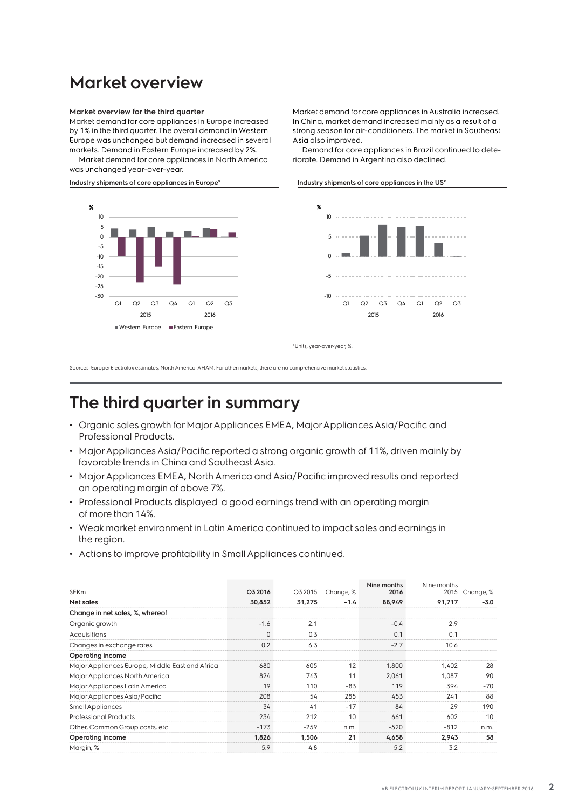### **Market overview**

### **Market overview for the third quarter**

Market demand for core appliances in Europe increased by 1% in the third quarter. The overall demand in Western Europe was unchanged but demand increased in several markets. Demand in Eastern Europe increased by 2%.

Market demand for core appliances in North America was unchanged year-over-year.

### Industry shipments of core appliances in Europe<sup>\*</sup> Industry shipments of core appliances in the US\*



Market demand for core appliances in Australia increased. In China, market demand increased mainly as a result of a strong season for air-conditioners. The market in Southeast Asia also improved.

Demand for core appliances in Brazil continued to deteriorate. Demand in Argentina also declined.



\*Units, year-over-year, %.

Sources: Europe: Electrolux estimates, North America: AHAM. For other markets, there are no comprehensive market statistics.

### **The third quarter in summary**

- Organic sales growth for Major Appliances EMEA, Major Appliances Asia/Pacific and Professional Products.
- Major Appliances Asia/Pacific reported a strong organic growth of 11%, driven mainly by favorable trends in China and Southeast Asia.
- Major Appliances EMEA, North America and Asia/Pacific improved results and reported an operating margin of above 7%.
- Professional Products displayed a good earnings trend with an operating margin of more than 14%.
- Weak market environment in Latin America continued to impact sales and earnings in the region.
- Actions to improve profitability in Small Appliances continued.

|                                                 |          |         |           | Nine months | Nine months |           |
|-------------------------------------------------|----------|---------|-----------|-------------|-------------|-----------|
| <b>SEKm</b>                                     | Q3 2016  | Q3 2015 | Change, % | 2016        | 2015        | Change, % |
| Net sales                                       | 30,852   | 31,275  | $-1.4$    | 88,949      | 91,717      | $-3.0$    |
| Change in net sales, %, whereof                 |          |         |           |             |             |           |
| Organic growth                                  | $-1.6$   | 2.1     |           | $-0.4$      | 2.9         |           |
| Acquisitions                                    | $\Omega$ | 0.3     |           | 0.1         | 0.1         |           |
| Changes in exchange rates                       | 0.2      | 6.3     |           | $-2.7$      | 10.6        |           |
| Operating income                                |          |         |           |             |             |           |
| Major Appliances Europe, Middle East and Africa | 680      | 605     | 12        | 1,800       | 1,402       | 28        |
| Major Appliances North America                  | 824      | 743     | 11        | 2,061       | 1,087       | 90        |
| Major Appliances Latin America                  | 19       | 110     | $-83$     | 119         | 394         | -70       |
| Major Appliances Asia/Pacific                   | 208      | 54      | 285       | 453         | 241         | 88        |
| <b>Small Appliances</b>                         | 34       | 41      | $-17$     | 84          | 29          | 190       |
| <b>Professional Products</b>                    | 234      | 212     | 10        | 661         | 602         | 10        |
| Other, Common Group costs, etc.                 | $-173$   | $-259$  | n.m.      | $-520$      | $-812$      | n.m.      |
| Operating income                                | 1,826    | 1,506   | 21        | 4,658       | 2,943       | 58        |
| Margin, %                                       | 5.9      | 4.8     |           | 5.2         | 3.2         |           |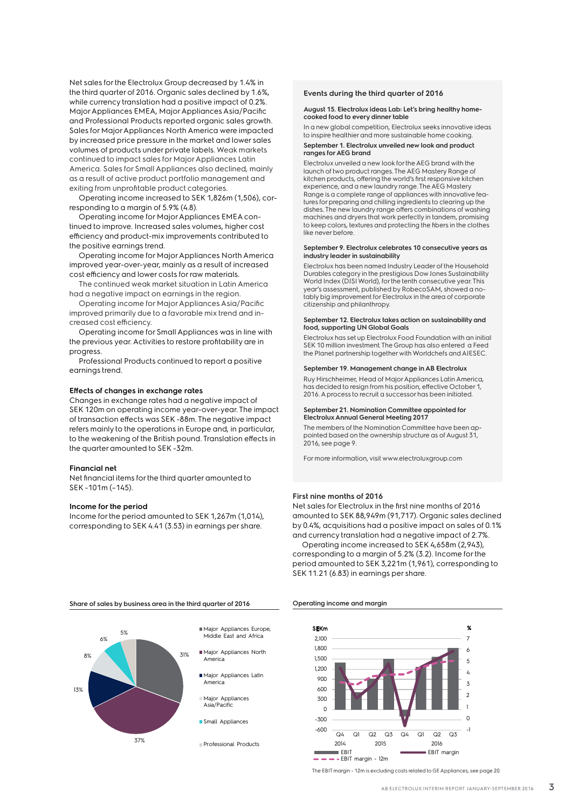Net sales for the Electrolux Group decreased by 1.4% in the third quarter of 2016. Organic sales declined by 1.6%, while currency translation had a positive impact of 0.2%. Major Appliances EMEA, Major Appliances Asia/Pacific and Professional Products reported organic sales growth. Sales for Major Appliances North America were impacted by increased price pressure in the market and lower sales volumes of products under private labels. Weak markets continued to impact sales for Major Appliances Latin America. Sales for Small Appliances also declined, mainly as a result of active product portfolio management and exiting from unprofitable product categories.

Operating income increased to SEK 1,826m (1,506), corresponding to a margin of 5.9% (4.8).

Operating income for Major Appliances EMEA continued to improve. Increased sales volumes, higher cost efficiency and product-mix improvements contributed to the positive earnings trend.

Operating income for Major Appliances North America improved year-over-year, mainly as a result of increased cost efficiency and lower costs for raw materials.

The continued weak market situation in Latin America had a negative impact on earnings in the region.

Operating income for Major Appliances Asia/Pacific improved primarily due to a favorable mix trend and increased cost efficiency.

Operating income for Small Appliances was in line with the previous year. Activities to restore profitability are in progress.

Professional Products continued to report a positive earnings trend.

#### **Effects of changes in exchange rates**

Changes in exchange rates had a negative impact of SEK 120m on operating income year-over-year. The impact of transaction effects was SEK -88m. The negative impact refers mainly to the operations in Europe and, in particular, to the weakening of the British pound. Translation effects in the quarter amounted to SEK -32m.

#### **Financial net**

Net financial items for the third quarter amounted to SEK -101m (–145).

#### **Income for the period**

Income for the period amounted to SEK 1,267m (1,014), corresponding to SEK 4.41 (3.53) in earnings per share.

### **Share of sales by business area in the third quarter of 2016 Operating income and margin**



#### **Events during the third quarter of 2016**

#### **August 15. Electrolux ideas Lab: Let's bring healthy homecooked food to every dinner table**

In a new global competition, Electrolux seeks innovative ideas to inspire healthier and more sustainable home cooking. **September 1. Electrolux unveiled new look and product** 

**ranges for AEG brand**

Electrolux unveiled a new look for the AEG brand with the launch of two product ranges. The AEG Mastery Range of kitchen products, offering the world's first responsive kitchen experience, and a new laundry range. The AEG Mastery Range is a complete range of appliances with innovative features for preparing and chilling ingredients to clearing up the dishes. The new laundry range offers combinations of washing machines and dryers that work perfectly in tandem, promising to keep colors, textures and protecting the fibers in the clothes like never before.

#### **September 9. Electrolux celebrates 10 consecutive years as industry leader in sustainability**

Electrolux has been named Industry Leader of the Household Durables category in the prestigious Dow Jones Sustainability World Index (DJSI World), for the tenth consecutive year. This year's assessment, published by RobecoSAM, showed a notably big improvement for Electrolux in the area of corporate citizenship and philanthropy.

#### **September 12. Electrolux takes action on sustainability and food, supporting UN Global Goals**

Electrolux has set up Electrolux Food Foundation with an initial SEK 10 million investment. The Group has also entered a Feed the Planet partnership together with Worldchefs and AIESEC.

#### **September 19. Management change in AB Electrolux**

Ruy Hirschheimer, Head of Major Appliances Latin America, has decided to resign from his position, effective October 1, 2016. A process to recruit a successor has been initiated.

#### **September 21. Nomination Committee appointed for Electrolux Annual General Meeting 2017**

The members of the Nomination Committee have been appointed based on the ownership structure as of August 31, 2016, see page 9.

For more information, visit www.electroluxgroup.com

### **First nine months of 2016**

Net sales for Electrolux in the first nine months of 2016 amounted to SEK 88,949m (91,717). Organic sales declined by 0.4%, acquisitions had a positive impact on sales of 0.1% and currency translation had a negative impact of 2.7%.

Operating income increased to SEK 4,658m (2,943), corresponding to a margin of 5.2% (3.2). Income for the period amounted to SEK 3,221m (1,961), corresponding to SEK 11.21 (6.83) in earnings per share.



The EBIT margin - 12m is excluding costs related to GE Appliances, see page 20.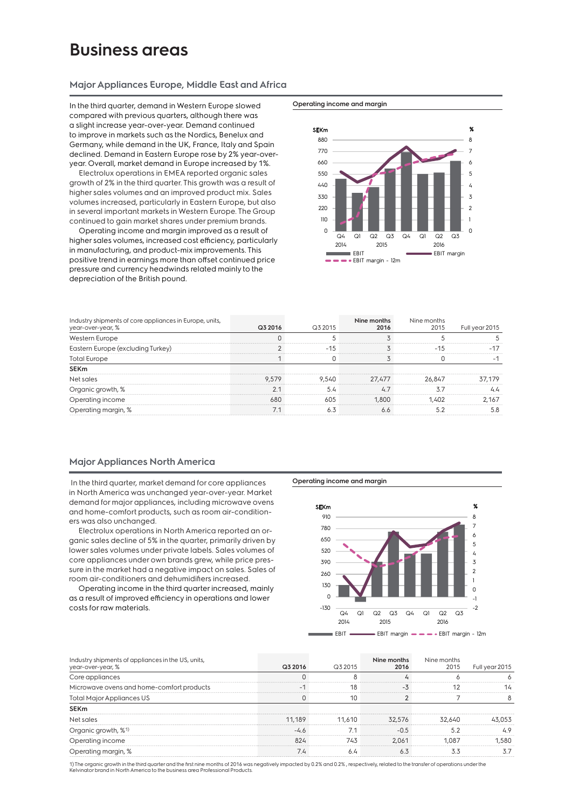### **Business areas**

### **Major Appliances Europe, Middle East and Africa**

In the third quarter, demand in Western Europe slowed compared with previous quarters, although there was a slight increase year-over-year. Demand continued to improve in markets such as the Nordics, Benelux and Germany, while demand in the UK, France, Italy and Spain declined. Demand in Eastern Europe rose by 2% year-overyear. Overall, market demand in Europe increased by 1%.

Electrolux operations in EMEA reported organic sales growth of 2% in the third quarter. This growth was a result of higher sales volumes and an improved product mix. Sales volumes increased, particularly in Eastern Europe, but also in several important markets in Western Europe. The Group continued to gain market shares under premium brands.

Operating income and margin improved as a result of higher sales volumes, increased cost efficiency, particularly in manufacturing, and product-mix improvements. This positive trend in earnings more than offset continued price pressure and currency headwinds related mainly to the depreciation of the British pound.



| Industry shipments of core appliances in Europe, units,<br>year-over-year, % | Q3 2016 | Q3 2015 | Nine months<br>2016 | Nine months<br>2015 | Full year 2015 |
|------------------------------------------------------------------------------|---------|---------|---------------------|---------------------|----------------|
| Western Europe                                                               |         |         |                     |                     |                |
| Eastern Europe (excluding Turkey)                                            |         | $-15$   |                     | $-1.5$              | $-17$          |
| <b>Total Europe</b>                                                          |         |         |                     |                     |                |
| <b>SEKm</b>                                                                  |         |         |                     |                     |                |
| Net sales                                                                    | 9.579   | 9.540   | 27.477              | 26,847              | 37.179         |
| Organic growth, %                                                            | 2.1     | 5.4     | 4.7                 | 37                  | 4.4            |
| Operating income                                                             | 680     | 605     | 1,800               | 1.402               | 2.167          |
| Operating margin, %                                                          | 71      | 6.3     | 6.6                 | 52                  | 5.8            |

### **Major Appliances North America**

 In the third quarter, market demand for core appliances in North America was unchanged year-over-year. Market demand for major appliances, including microwave ovens and home-comfort products, such as room air-conditioners was also unchanged.

Electrolux operations in North America reported an organic sales decline of 5% in the quarter, primarily driven by lower sales volumes under private labels. Sales volumes of core appliances under own brands grew, while price pressure in the market had a negative impact on sales. Sales of room air-conditioners and dehumidifiers increased.

Operating income in the third quarter increased, mainly as a result of improved efficiency in operations and lower costs for raw materials.

#### **Operating income and margin**



| Industry shipments of appliances in the US, units,<br>year-over-year, % | Q3 2016 | Q3 2015 | Nine months<br>2016 | Nine months<br>2015 | Full year 2015 |
|-------------------------------------------------------------------------|---------|---------|---------------------|---------------------|----------------|
| Core appliances                                                         |         | 8       |                     |                     |                |
| Microwave ovens and home-comfort products                               | -       | 18      | -3                  | 12                  | 14             |
| <b>Total Major Appliances US</b>                                        |         | 10      |                     |                     | 8              |
| <b>SEKm</b>                                                             |         |         |                     |                     |                |
| Net sales                                                               | 11.189  | 11.610  | 32,576              | 32,640              | 43.053         |
| Organic growth, % <sup>1)</sup>                                         | $-4.6$  | 7.1     | $-0.5$              | 52                  | 4.9            |
| Operating income                                                        | 824     | 743     | 2.061               | 1.087               | 1,580          |
| Operating margin, %                                                     | 7.4     | 6.4     | 6.3                 | 3.3                 | 3.7            |

1) The organic growth in the third quarter and the first nine months of 2016 was negatively impacted by 0.2% and 0.2% , respectively, related to the transfer of operations under the<br>Kelvinator brand in North America to the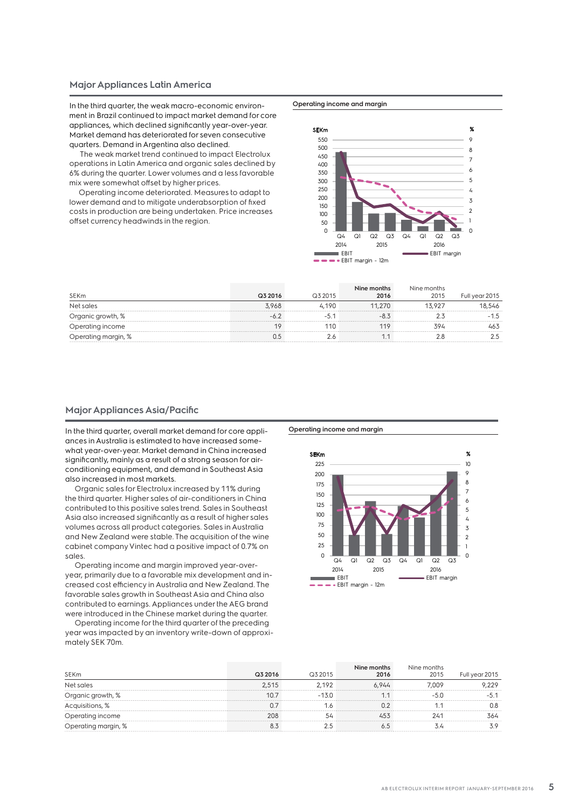### **Major Appliances Latin America**

In the third quarter, the weak macro-economic environment in Brazil continued to impact market demand for core appliances, which declined significantly year-over-year. Market demand has deteriorated for seven consecutive quarters. Demand in Argentina also declined.

 The weak market trend continued to impact Electrolux operations in Latin America and organic sales declined by 6% during the quarter. Lower volumes and a less favorable mix were somewhat offset by higher prices.

Operating income deteriorated. Measures to adapt to lower demand and to mitigate underabsorption of fixed costs in production are being undertaken. Price increases offset currency headwinds in the region.



**Operating income and margin**



|                     |         |         | Nine months | Nine months |                |
|---------------------|---------|---------|-------------|-------------|----------------|
| SEKm                | Q3 2016 | Q3 2015 | 2016        | 2015        | Full year 2015 |
| Net sales           | 3.968   | 4.190   | 11.270      | 13.927      | 18,546         |
| Organic growth, %   | -6.2    | $-5.7$  | $-8.3$      |             | $-1.5$         |
| Operating income    | 19      | 110     | 119         | 394         | 463            |
| Operating margin, % | U.S     |         |             |             |                |

### **Major Appliances Asia/Pacific**

In the third quarter, overall market demand for core appliances in Australia is estimated to have increased somewhat year-over-year. Market demand in China increased significantly, mainly as a result of a strong season for airconditioning equipment, and demand in Southeast Asia also increased in most markets.

Organic sales for Electrolux increased by 11% during the third quarter. Higher sales of air-conditioners in China contributed to this positive sales trend. Sales in Southeast Asia also increased significantly as a result of higher sales volumes across all product categories. Sales in Australia and New Zealand were stable. The acquisition of the wine cabinet company Vintec had a positive impact of 0.7% on sales.

Operating income and margin improved year-overyear, primarily due to a favorable mix development and increased cost efficiency in Australia and New Zealand. The favorable sales growth in Southeast Asia and China also contributed to earnings. Appliances under the AEG brand were introduced in the Chinese market during the quarter.

Operating income for the third quarter of the preceding year was impacted by an inventory write-down of approximately SEK 70m.



#### SEKm **Q3 2016** Q3 2015 **Nine months 2016** Nine months 2015 Full year 2015 Net sales 2,515 2,192 6,944 7,009 9,229 Organic growth, % 10.7 -13.0 1.1 -5.0 -5.1 Acquisitions, % 0.8 1.1 0.8 1.1 0.8 1.1 0.8 1.1 0.8 1.1 0.8 1.1 0.8 1.1 0.8 1.1 0.8 1.1 0.8 1.1 0.8 1.1 0.8 1.1 0.8 Operating income 208 54 453 241 364 Operating margin, % 8.3 2.5 6.5 3.4 3.9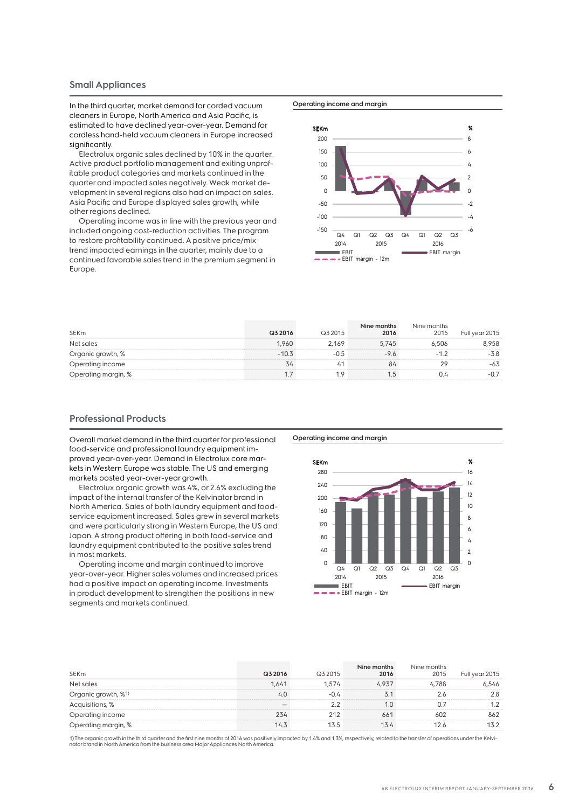### **Small Appliances**

In the third quarter, market demand for corded vacuum cleaners in Europe, North America and Asia Pacific, is estimated to have declined year-over-year. Demand for cordless hand-held vacuum cleaners in Europe increased significantly.

Electrolux organic sales declined by 10% in the quarter. Active product portfolio management and exiting unprofitable product categories and markets continued in the quarter and impacted sales negatively. Weak market development in several regions also had an impact on sales. Asia Pacific and Europe displayed sales growth, while other regions declined.

Operating income was in line with the previous year and included ongoing cost-reduction activities. The program to restore profitability continued. A positive price/mix trend impacted earnings in the quarter, mainly due to a continued favorable sales trend in the premium segment in Europe.



|                     |         |                | Nine months | Nine months |                |
|---------------------|---------|----------------|-------------|-------------|----------------|
| SEKm                | Q3 2016 | Q3 2015        | 2016        | 2015        | Full year 2015 |
| Net sales           | 1.960   | 2.169          | 5.745       | 6.506       | 8.958          |
| Organic growth, %   | $-10.3$ | $-0.5$         | -96         | $-12$       | -3.8           |
| Operating income    | 34      | 4 <sup>7</sup> |             | 29          | -63            |
| Operating margin, % |         | 10             |             | 0.4         | $-0.7$         |

### **Professional Products**

Overall market demand in the third quarter for professional food-service and professional laundry equipment improved year-over-year. Demand in Electrolux core markets in Western Europe was stable. The US and emerging markets posted year-over-year growth.

Electrolux organic growth was 4%, or 2.6% excluding the impact of the internal transfer of the Kelvinator brand in North America. Sales of both laundry equipment and foodservice equipment increased. Sales grew in several markets and were particularly strong in Western Europe, the US and Japan. A strong product offering in both food-service and laundry equipment contributed to the positive sales trend in most markets.

Operating income and margin continued to improve year-over-year. Higher sales volumes and increased prices had a positive impact on operating income. Investments in product development to strengthen the positions in new segments and markets continued.

**Operating income and margin**



|                     |         |         | Nine months | Nine months |                |
|---------------------|---------|---------|-------------|-------------|----------------|
| <b>SEKm</b>         | Q3 2016 | Q3 2015 | 2016        | 2015        | Full year 2015 |
| Net sales           | 1.641   | 1.574   | 4.937       | 4,788       | 6,546          |
| Organic growth, %1) | 4.0     | $-0.4$  | 31          | 2.6         | 2.8            |
| Acquisitions, %     |         | 2.2     | 1.0         |             |                |
| Operating income    | 234     | 212     | 661         | 602         | 862            |
| Operating margin, % | 14.3    | 13.5    | 13.4        | 12.6        | 13.2           |

1) The organic growth in the third quarter and the first nine months of 2016 was positively impacted by 1.4% and 1.3%, respectively, related to the transfer of operations under the Kelvi-<br>nator brand in North America from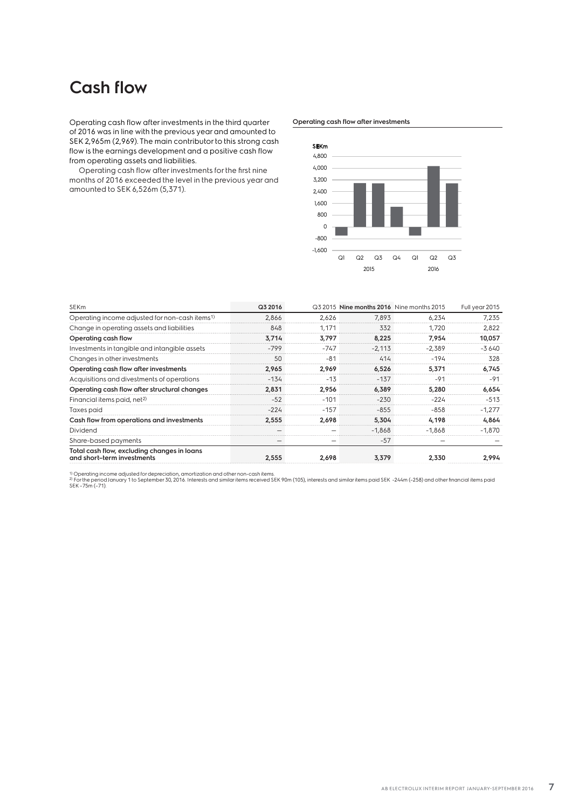### **Cash flow**

Operating cash flow after investments in the third quarter of 2016 was in line with the previous year and amounted to SEK 2,965m (2,969). The main contributor to this strong cash flow is the earnings development and a positive cash flow from operating assets and liabilities.

Operating cash flow after investments for the first nine months of 2016 exceeded the level in the previous year and amounted to SEK 6,526m (5,371).

**Operating cash flow after investments**



| <b>SEKm</b>                                                               | Q3 2016 |        | Q3 2015 Nine months 2016 Nine months 2015 |          | Full year 2015 |
|---------------------------------------------------------------------------|---------|--------|-------------------------------------------|----------|----------------|
| Operating income adjusted for non-cash items <sup>1)</sup>                | 2,866   | 2,626  | 7.893                                     | 6,234    | 7,235          |
| Change in operating assets and liabilities                                | 848     | 1,171  | 332                                       | 1,720    | 2,822          |
| Operating cash flow                                                       | 3,714   | 3,797  | 8,225                                     | 7,954    | 10,057         |
| Investments in tangible and intangible assets                             | $-799$  | $-747$ | $-2,113$                                  | $-2,389$ | $-3640$        |
| Changes in other investments                                              | 50      | $-81$  | 414                                       | $-194$   | 328            |
| Operating cash flow after investments                                     | 2.965   | 2.969  | 6.526                                     | 5,371    | 6,745          |
| Acquisitions and divestments of operations                                | $-134$  | $-13$  | $-137$                                    | $-91$    | $-91$          |
| Operating cash flow after structural changes                              | 2,831   | 2,956  | 6,389                                     | 5,280    | 6,654          |
| Financial items paid, net <sup>2)</sup>                                   | $-52$   | $-101$ | $-230$                                    | $-224$   | $-513$         |
| Taxes paid                                                                | $-224$  | $-157$ | $-855$                                    | $-858$   | $-1,277$       |
| Cash flow from operations and investments                                 | 2,555   | 2,698  | 5,304                                     | 4,198    | 4,864          |
| <b>Dividend</b>                                                           |         |        | $-1,868$                                  | $-1,868$ | $-1,870$       |
| Share-based payments                                                      |         |        | $-57$                                     |          |                |
| Total cash flow, excluding changes in loans<br>and short-term investments | 2,555   | 2,698  | 3,379                                     | 2,330    | 2,994          |

<sup>1)</sup> Operating income adjusted for depreciation, amortization and other non-cash items.<br><sup>2)</sup> For the period January 1 to September 30, 2016. Interests and similar items received SEK 90m (105), interests and similar items p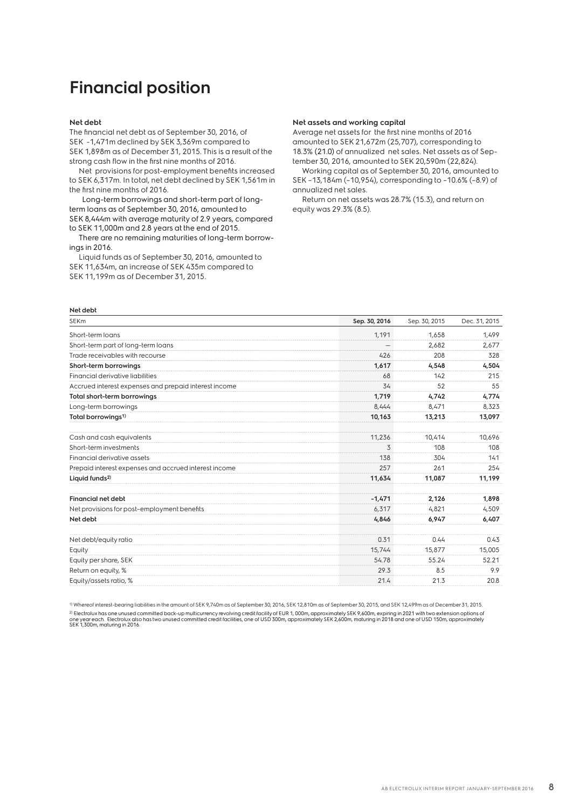### **Financial position**

### **Net debt**

The financial net debt as of September 30, 2016, of SEK -1,471m declined by SEK 3,369m compared to SEK 1,898m as of December 31, 2015. This is a result of the strong cash flow in the first nine months of 2016.

Net provisions for post-employment benefits increased to SEK 6,317m. In total, net debt declined by SEK 1,561m in the first nine months of 2016.

 Long-term borrowings and short-term part of longterm loans as of September 30, 2016, amounted to SEK 8,444m with average maturity of 2.9 years, compared to SEK 11,000m and 2.8 years at the end of 2015.

There are no remaining maturities of long-term borrowings in 2016.

Liquid funds as of September 30, 2016, amounted to SEK 11,634m, an increase of SEK 435m compared to SEK 11,199m as of December 31, 2015.

### **Net assets and working capital**

Average net assets for the first nine months of 2016 amounted to SEK 21,672m (25,707), corresponding to 18.3% (21.0) of annualized net sales. Net assets as of September 30, 2016, amounted to SEK 20,590m (22,824).

Working capital as of September 30, 2016, amounted to SEK –13,184m (–10,954), corresponding to –10.6% (–8.9) of annualized net sales.

Return on net assets was 28.7% (15.3), and return on equity was 29.3% (8.5).

| Net debt                                              |               |               |               |
|-------------------------------------------------------|---------------|---------------|---------------|
| <b>SEKm</b>                                           | Sep. 30, 2016 | Sep. 30, 2015 | Dec. 31, 2015 |
| Short-term loans                                      | 1,191         | 1,658         | 1,499         |
| Short-term part of long-term loans                    |               | 2.682         | 2,677         |
| Trade receivables with recourse                       | 426           | 208           | 328           |
| Short-term borrowings                                 | 1,617         | 4,548         | 4,504         |
| Financial derivative liabilities                      | 68            | 142           | 215           |
| Accrued interest expenses and prepaid interest income | 34            | 52            | 55            |
| Total short-term borrowings                           | 1.719         | 4,742         | 4,774         |
| Long-term borrowings                                  | 8.444         | 8.471         | 8,323         |
| Total borrowings <sup>1)</sup>                        | 10,163        | 13,213        | 13,097        |
| Cash and cash equivalents                             | 11,236        | 10.414        | 10,696        |
| Short-term investments                                | 3             | 108           | 108           |
| Financial derivative assets                           | 138           | 304           | 141           |
| Prepaid interest expenses and accrued interest income | 257           | 261           | 254           |
| Liquid funds <sup>2)</sup>                            | 11,634        | 11,087        | 11,199        |
| <b>Financial net debt</b>                             | $-1.471$      | 2.126         | 1,898         |
| Net provisions for post-employment benefits           | 6,317         | 4,821         | 4,509         |
| Net debt                                              | 4,846         | 6,947         | 6,407         |
| Net debt/equity ratio                                 | 0.31          | 0.44          | 0.43          |
| Equity                                                | 15,744        | 15,877        | 15,005        |
| Equity per share, SEK                                 | 54.78         | 55.24         | 52.21         |
| Return on equity, %                                   | 29.3          | 8.5           | 9.9           |
| Equity/assets ratio, %                                | 21.4          | 21.3          | 20.8          |

1)Whereof interest-bearing liabilities in the amount of SEK 9,740m as of September 30, 2016, SEK 12,810m as of September 30, 2015, and SEK 12,499m as of December 31, 2015. <sup>2)</sup> Electrolux has one unused committed back-up multicurrency revolving credit facility of EUR 1, 000m, approximately SEK 9,600m, expring in 2021 with two extension options of<br>one year each. Electrolux also has two unused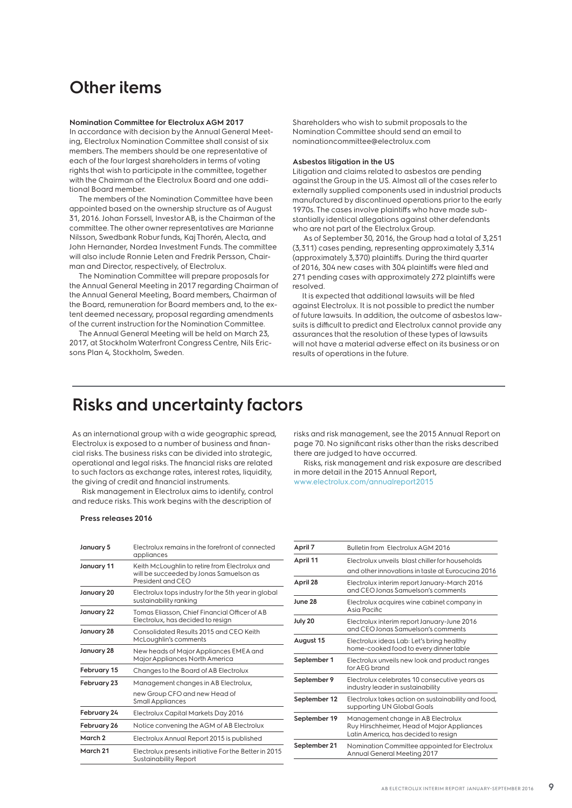### **Other items**

#### **Nomination Committee for Electrolux AGM 2017**

In accordance with decision by the Annual General Meeting, Electrolux Nomination Committee shall consist of six members. The members should be one representative of each of the four largest shareholders in terms of voting rights that wish to participate in the committee, together with the Chairman of the Electrolux Board and one additional Board member.

The members of the Nomination Committee have been appointed based on the ownership structure as of August 31, 2016. Johan Forssell, Investor AB, is the Chairman of the committee. The other owner representatives are Marianne Nilsson, Swedbank Robur funds, Kaj Thorén, Alecta, and John Hernander, Nordea Investment Funds. The committee will also include Ronnie Leten and Fredrik Persson, Chairman and Director, respectively, of Electrolux.

The Nomination Committee will prepare proposals for the Annual General Meeting in 2017 regarding Chairman of the Annual General Meeting, Board members, Chairman of the Board, remuneration for Board members and, to the extent deemed necessary, proposal regarding amendments of the current instruction for the Nomination Committee.

The Annual General Meeting will be held on March 23, 2017, at Stockholm Waterfront Congress Centre, Nils Ericsons Plan 4, Stockholm, Sweden.

Shareholders who wish to submit proposals to the Nomination Committee should send an email to nominationcommittee@electrolux.com

### **Asbestos litigation in the US**

Litigation and claims related to asbestos are pending against the Group in the US. Almost all of the cases refer to externally supplied components used in industrial products manufactured by discontinued operations prior to the early 1970s. The cases involve plaintiffs who have made substantially identical allegations against other defendants who are not part of the Electrolux Group.

 As of September 30, 2016, the Group had a total of 3,251 (3,311) cases pending, representing approximately 3,314 (approximately 3,370) plaintiffs. During the third quarter of 2016, 304 new cases with 304 plaintiffs were filed and 271 pending cases with approximately 272 plaintiffs were resolved.

It is expected that additional lawsuits will be filed against Electrolux. It is not possible to predict the number of future lawsuits. In addition, the outcome of asbestos lawsuits is difficult to predict and Electrolux cannot provide any assurances that the resolution of these types of lawsuits will not have a material adverse effect on its business or on results of operations in the future.

### **Risks and uncertainty factors**

As an international group with a wide geographic spread, Electrolux is exposed to a number of business and financial risks. The business risks can be divided into strategic, operational and legal risks. The financial risks are related to such factors as exchange rates, interest rates, liquidity, the giving of credit and financial instruments.

Risk management in Electrolux aims to identify, control and reduce risks. This work begins with the description of

### **Press releases 2016**

**January 5** Electrolux remains in the forefront of connected appliances **January 11** Keith McLoughlin to retire from Electrolux and will be succeeded by Jonas Samuelson as President and CEO **January 20** Electrolux tops industry for the 5th year in global sustainability ranking **January 22** Tomas Eliasson, Chief Financial Officer of AB Electrolux, has decided to resign **January 28** Consolidated Results 2015 and CEO Keith McLoughlin's comments **January 28** New heads of Major Appliances EMEA and Major Appliances North America **February 15** Changes to the Board of AB Electrolux **February 23** Management changes in AB Electrolux, new Group CFO and new Head of Small Appliances **February 24** Electrolux Capital Markets Day 2016 February 26 Notice convening the AGM of AB Electrolux **March 2** Electrolux Annual Report 2015 is published **March 21** Electrolux presents initiative For the Better in 2015 Sustainability Report

risks and risk management, see the 2015 Annual Report on page 70. No significant risks other than the risks described there are judged to have occurred.

Risks, risk management and risk exposure are described in more detail in the 2015 Annual Report, www.electrolux.com/annualreport2015

| Bulletin from Electrolux AGM 2016                                                                                        |
|--------------------------------------------------------------------------------------------------------------------------|
| Electrolux unveils blast chiller for households                                                                          |
| and other innovations in taste at Eurocucina 2016                                                                        |
| Electrolux interim report January-March 2016<br>and CEO Jonas Samuelson's comments                                       |
| Electrolux acquires wine cabinet company in<br>Asia Pacific                                                              |
| Electrolux interim report January-June 2016<br>and CEO Jonas Samuelson's comments                                        |
| Electrolux ideas Lab: Let's bring healthy<br>home-cooked food to every dinner table                                      |
| Electrolux unveils new look and product ranges<br>for AFG brand                                                          |
| Electrolux celebrates 10 consecutive years as<br>industry leader in sustainability                                       |
| Electrolux takes action on sustainability and food,<br>supporting UN Global Goals                                        |
| Management change in AB Electrolux<br>Ruy Hirschheimer, Head of Major Appliances<br>Latin America, has decided to resign |
| Nomination Committee appointed for Electrolux                                                                            |
|                                                                                                                          |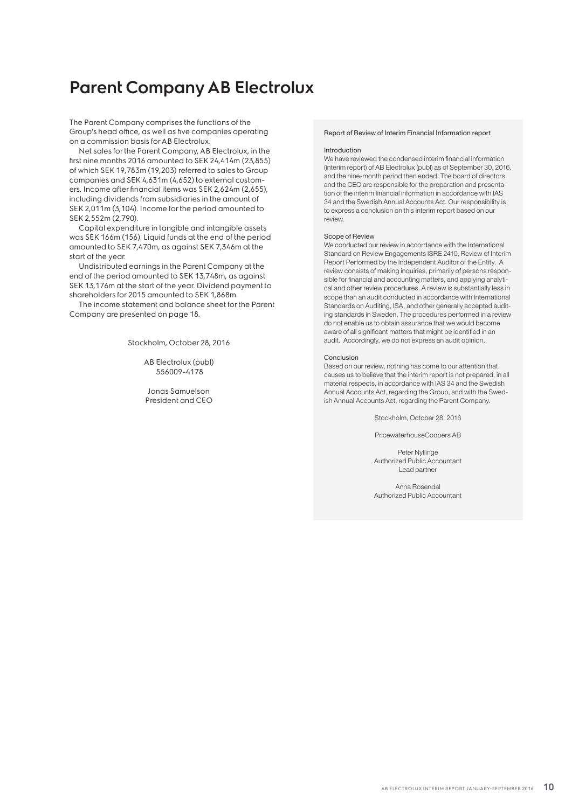### **Parent Company AB Electrolux**

The Parent Company comprises the functions of the Group's head office, as well as five companies operating on a commission basis for AB Electrolux.

Net sales for the Parent Company, AB Electrolux, in the first nine months 2016 amounted to SEK 24,414m (23,855) of which SEK 19,783m (19,203) referred to sales to Group companies and SEK 4,631m (4,652) to external customers. Income after financial items was SEK 2,624m (2,655), including dividends from subsidiaries in the amount of SEK 2,011m (3,104). Income for the period amounted to SEK 2,552m (2,790).

Capital expenditure in tangible and intangible assets was SEK 166m (156). Liquid funds at the end of the period amounted to SEK 7,470m, as against SEK 7,346m at the start of the year.

Undistributed earnings in the Parent Company at the end of the period amounted to SEK 13,748m, as against SEK 13,176m at the start of the year. Dividend payment to shareholders for 2015 amounted to SEK 1,868m.

The income statement and balance sheet for the Parent Company are presented on page 18.

Stockholm, October 28, 2016

AB Electrolux (publ) 556009-4178

Jonas Samuelson President and CEO

### Report of Review of Interim Financial Information report

#### Introduction

We have reviewed the condensed interim financial information (interim report) of AB Electrolux (publ) as of September 30, 2016, and the nine-month period then ended. The board of directors and the CEO are responsible for the preparation and presentation of the interim financial information in accordance with IAS 34 and the Swedish Annual Accounts Act. Our responsibility is to express a conclusion on this interim report based on our review.

#### Scope of Review

We conducted our review in accordance with the International Standard on Review Engagements ISRE 2410, Review of Interim Report Performed by the Independent Auditor of the Entity. A review consists of making inquiries, primarily of persons responsible for financial and accounting matters, and applying analytical and other review procedures. A review is substantially less in scope than an audit conducted in accordance with International Standards on Auditing, ISA, and other generally accepted auditing standards in Sweden. The procedures performed in a review do not enable us to obtain assurance that we would become aware of all significant matters that might be identified in an audit. Accordingly, we do not express an audit opinion.

#### Conclusion

Based on our review, nothing has come to our attention that causes us to believe that the interim report is not prepared, in all material respects, in accordance with IAS 34 and the Swedish Annual Accounts Act, regarding the Group, and with the Swedish Annual Accounts Act, regarding the Parent Company.

Stockholm, October 28, 2016

PricewaterhouseCoopers AB

Peter Nyllinge Authorized Public Accountant Lead partner

Anna Rosendal Authorized Public Accountant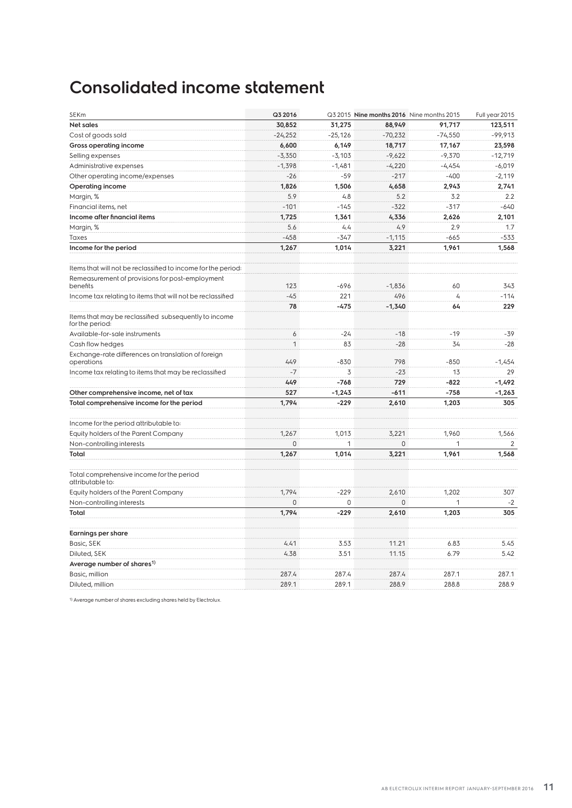### **Consolidated income statement**

| SEKm                                                                     | Q3 2016        |           | Q3 2015 Nine months 2016 Nine months 2015 |                | Full year 2015 |
|--------------------------------------------------------------------------|----------------|-----------|-------------------------------------------|----------------|----------------|
| <b>Net sales</b>                                                         | 30,852         | 31,275    | 88.949                                    | 91.717         | 123,511        |
| Cost of goods sold                                                       | $-24,252$      | $-25,126$ | $-70,232$                                 | $-74,550$      | $-99,913$      |
| Gross operating income                                                   | 6,600          | 6,149     | 18,717                                    | 17,167         | 23,598         |
| Selling expenses                                                         | $-3,350$       | $-3,103$  | $-9,622$                                  | $-9,370$       | $-12,719$      |
| Administrative expenses                                                  | $-1,398$       | $-1,481$  | $-4,220$                                  | $-4,454$       | $-6,019$       |
| Other operating income/expenses                                          | $-26$          | $-59$     | $-217$                                    | $-400$         | $-2,119$       |
| <b>Operating income</b>                                                  | 1,826          | 1,506     | 4,658                                     | 2,943          | 2,741          |
| Margin, %                                                                | 5.9            | 4.8       | 5.2                                       | 3.2            | 2.2            |
| Financial items, net                                                     | $-101$         | $-145$    | $-322$                                    | $-317$         | $-640$         |
| Income after financial items                                             | 1,725          | 1,361     | 4,336                                     | 2,626          | 2,101          |
| Margin, %                                                                | 5.6            | 4.4       | 4.9                                       | 2.9            | 1.7            |
| Taxes                                                                    | $-458$         | $-347$    | $-1,115$                                  | $-665$         | $-533$         |
| Income for the period                                                    | 1,267          | 1,014     | 3,221                                     | 1,961          | 1,568          |
|                                                                          |                |           |                                           |                |                |
| Items that will not be reclassified to income for the period:            |                |           |                                           |                |                |
| Remeasurement of provisions for post-employment<br>benefits              | 123            | $-696$    | $-1,836$                                  | 60             | 343            |
| Income tax relating to items that will not be reclassified               | $-45$          | 221       | 496                                       | $\overline{4}$ | $-114$         |
|                                                                          | 78             | $-475$    | $-1,340$                                  | 64             | 229            |
| Items that may be reclassified subsequently to income<br>for the period: |                |           |                                           |                |                |
| Available-for-sale instruments                                           | 6              | $-24$     | $-18$                                     | $-19$          | -39            |
| Cash flow hedges                                                         | $\mathbf{1}$   | 83        | $-28$                                     | 34             | $-28$          |
| Exchange-rate differences on translation of foreign<br>operations        | 449            | $-830$    | 798                                       | $-850$         | $-1,454$       |
| Income tax relating to items that may be reclassified                    | $-7$           | 3         | $-23$                                     | 13             | 29             |
|                                                                          | 449            | $-768$    | 729                                       | $-822$         | $-1,492$       |
| Other comprehensive income, net of tax                                   | 527            | $-1,243$  | $-611$                                    | $-758$         | $-1,263$       |
| Total comprehensive income for the period                                | 1,794          | $-229$    | 2,610                                     | 1,203          | 305            |
| Income for the period attributable to:                                   |                |           |                                           |                |                |
| Equity holders of the Parent Company                                     | 1,267          | 1,013     | 3,221                                     | 1.960          | 1,566          |
| Non-controlling interests                                                | $\overline{0}$ | 1         | $\mathbf{0}$                              | 1              | 2              |
| Total                                                                    | 1,267          | 1.014     | 3,221                                     | 1,961          | 1,568          |
|                                                                          |                |           |                                           |                |                |
| Total comprehensive income for the period<br>attributable to:            |                |           |                                           |                |                |
| Equity holders of the Parent Company                                     | 1,794          | $-229$    | 2,610                                     | 1,202          | 307            |
| Non-controlling interests                                                | $\overline{0}$ | 0         | $\mathbf{0}$                              | 1              | $-2$           |
| Total                                                                    | 1,794          | $-229$    | 2,610                                     | 1,203          | 305            |
|                                                                          |                |           |                                           |                |                |
| <b>Earnings per share</b>                                                | 4.41           | 3.53      | 11.21                                     | 6.83           | 5.45           |
| Basic, SEK                                                               |                |           |                                           |                |                |
| Diluted, SEK                                                             | 4.38           | 3.51      | 11.15                                     | 6.79           | 5.42           |
| Average number of shares <sup>1)</sup>                                   |                |           |                                           |                |                |
| Basic, million                                                           | 287.4          | 287.4     | 287.4                                     | 287.1          | 287.1          |
| Diluted, million                                                         | 289.1          | 289.1     | 288.9                                     | 288.8          | 288.9          |

1) Average number of shares excluding shares held by Electrolux.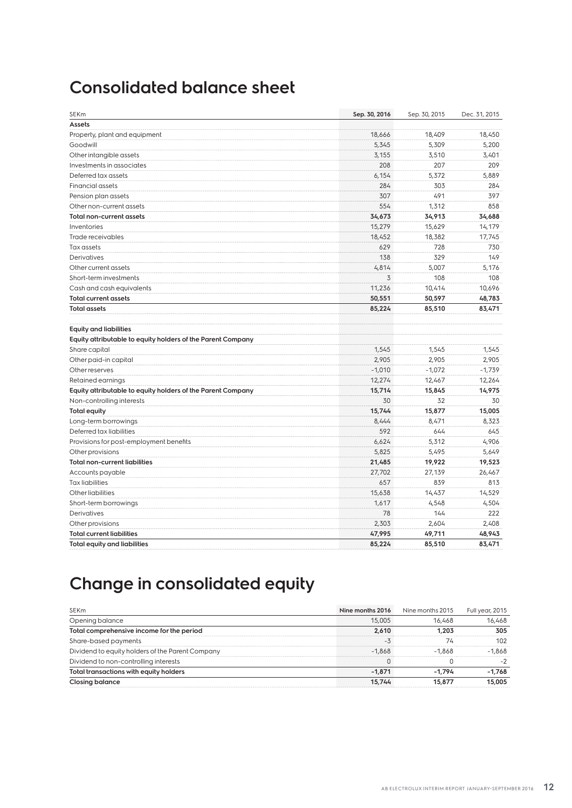### **Consolidated balance sheet**

| SEKm                                                        | Sep. 30, 2016 | Sep. 30, 2015 | Dec. 31, 2015 |
|-------------------------------------------------------------|---------------|---------------|---------------|
| Assets                                                      |               |               |               |
| Property, plant and equipment                               | 18,666        | 18,409        | 18,450        |
| Goodwill                                                    | 5,345         | 5,309         | 5,200         |
| Other intangible assets                                     | 3,155         | 3,510         | 3,401         |
| Investments in associates                                   | 208           | 207           | 209           |
| Deferred tax assets                                         | 6,154         | 5,372         | 5,889         |
| <b>Financial assets</b>                                     | 284           | 303           | 284           |
| Pension plan assets                                         | 307           | 491           | 397           |
| Other non-current assets                                    | 554           | 1,312         | 858           |
| <b>Total non-current assets</b>                             | 34,673        | 34,913        | 34,688        |
| Inventories                                                 | 15,279        | 15,629        | 14,179        |
| Trade receivables                                           | 18,452        | 18,382        | 17,745        |
| Tax assets                                                  | 629           | 728           | 730           |
| Derivatives                                                 | 138           | 329           | 149           |
| Other current assets                                        | 4,814         | 5,007         | 5,176         |
| Short-term investments                                      | 3             | 108           | 108           |
| Cash and cash equivalents                                   | 11,236        | 10,414        | 10,696        |
| <b>Total current assets</b>                                 | 50,551        | 50,597        | 48,783        |
| <b>Total assets</b>                                         | 85,224        | 85,510        | 83,471        |
|                                                             |               |               |               |
| <b>Equity and liabilities</b>                               |               |               |               |
| Equity attributable to equity holders of the Parent Company |               |               |               |
| Share capital                                               | 1,545         | 1,545         | 1,545         |
| Other paid-in capital                                       | 2,905         | 2,905         | 2,905         |
| Other reserves                                              | $-1,010$      | $-1,072$      | $-1,739$      |
| Retained earnings                                           | 12,274        | 12,467        | 12,264        |
| Equity attributable to equity holders of the Parent Company | 15,714        | 15,845        | 14,975        |
| Non-controlling interests                                   | 30            | 32            | 30            |
| <b>Total equity</b>                                         | 15,744        | 15,877        | 15,005        |
| Long-term borrowings                                        | 8,444         | 8,471         | 8,323         |
| Deferred tax liabilities                                    | 592           | 644           | 645           |
| Provisions for post-employment benefits                     | 6,624         | 5,312         | 4,906         |
| Other provisions                                            | 5,825         | 5,495         | 5,649         |
| <b>Total non-current liabilities</b>                        | 21,485        | 19,922        | 19,523        |
| Accounts payable                                            | 27,702        | 27,139        | 26,467        |
| <b>Tax liabilities</b>                                      | 657           | 839           | 813           |
| Other liabilities                                           | 15,638        | 14,437        | 14,529        |
| Short-term borrowings                                       | 1,617         | 4,548         | 4,504         |
| Derivatives                                                 | 78            | 144           | 222           |
| Other provisions                                            | 2,303         | 2,604         | 2,408         |
| <b>Total current liabilities</b>                            | 47,995        | 49,711        | 48,943        |
| Total equity and liabilities                                | 85,224        | 85,510        | 83.471        |

### **Change in consolidated equity**

| <b>SEKm</b>                                      | Nine months 2016 | Nine months 2015 | Full year, 2015 |
|--------------------------------------------------|------------------|------------------|-----------------|
| Opening balance                                  | 15,005           | 16,468           | 16,468          |
| Total comprehensive income for the period        | 2.610            | 1.203            | 305             |
| Share-based payments                             | $-3$             | 74               | 102             |
| Dividend to equity holders of the Parent Company | $-1.868$         | $-1.868$         | $-1.868$        |
| Dividend to non-controlling interests            |                  |                  | $-2$            |
| Total transactions with equity holders           | $-1.871$         | $-1.794$         | $-1.768$        |
| <b>Closing balance</b>                           | 15.744           | 15,877           | 15,005          |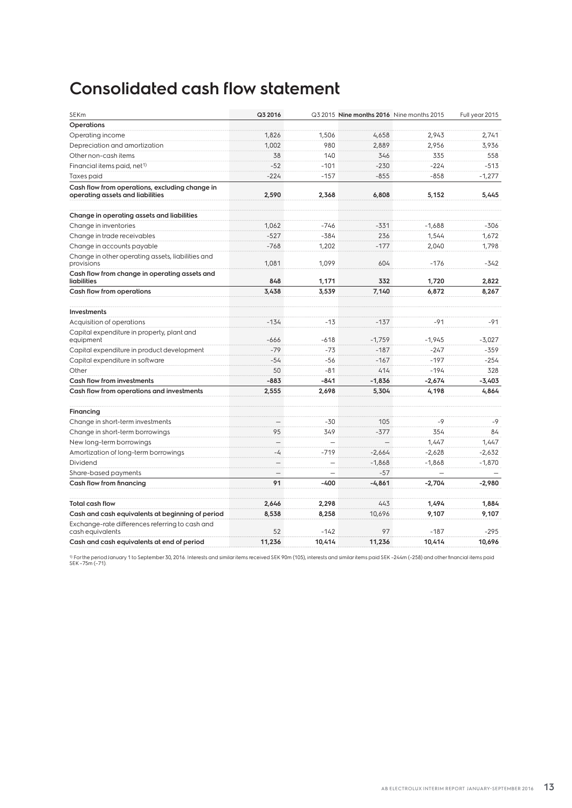### **Consolidated cash flow statement**

| SEKm                                                                               | Q3 2016                  |                          | Q3 2015 Nine months 2016 Nine months 2015 |          | Full year 2015 |
|------------------------------------------------------------------------------------|--------------------------|--------------------------|-------------------------------------------|----------|----------------|
| <b>Operations</b>                                                                  |                          |                          |                                           |          |                |
| Operating income                                                                   | 1,826                    | 1,506                    | 4,658                                     | 2,943    | 2,741          |
| Depreciation and amortization                                                      | 1.002                    | 980                      | 2,889                                     | 2.956    | 3,936          |
| Other non-cash items                                                               | 38                       | 140                      | 346                                       | 335      | 558            |
| Financial items paid, net <sup>1)</sup>                                            | $-52$                    | $-101$                   | $-230$                                    | $-224$   | $-513$         |
| Taxes paid                                                                         | $-224$                   | $-157$                   | $-855$                                    | $-858$   | $-1,277$       |
| Cash flow from operations, excluding change in<br>operating assets and liabilities | 2,590                    | 2,368                    | 6,808                                     | 5,152    | 5,445          |
| Change in operating assets and liabilities                                         |                          |                          |                                           |          |                |
| Change in inventories                                                              | 1,062                    | $-746$                   | $-331$                                    | $-1.688$ | $-306$         |
| Change in trade receivables                                                        | $-527$                   | $-384$                   | 236                                       | 1.544    | 1.672          |
| Change in accounts payable                                                         | $-768$                   | 1,202                    | $-177$                                    | 2,040    | 1,798          |
| Change in other operating assets, liabilities and<br>provisions                    | 1,081                    | 1,099                    | 604                                       | $-176$   | $-342$         |
| Cash flow from change in operating assets and<br>liabilities                       | 848                      | 1.171                    | 332                                       | 1.720    | 2.822          |
| Cash flow from operations                                                          | 3,438                    | 3,539                    | 7,140                                     | 6,872    | 8,267          |
| <b>Investments</b>                                                                 |                          |                          |                                           |          |                |
| Acquisition of operations                                                          | $-134$                   | $-13$                    | $-137$                                    | $-91$    | $-91$          |
| Capital expenditure in property, plant and<br>equipment                            | -666                     | $-618$                   | $-1.759$                                  | $-1.945$ | $-3.027$       |
| Capital expenditure in product development                                         | $-79$                    | $-73$                    | $-187$                                    | $-247$   | $-359$         |
| Capital expenditure in software                                                    | $-54$                    | $-56$                    | $-167$                                    | $-197$   | $-254$         |
| Other                                                                              | 50                       | $-81$                    | 414                                       | $-194$   | 328            |
| <b>Cash flow from investments</b>                                                  | $-883$                   | -841                     | $-1,836$                                  | $-2,674$ | -3,403         |
| Cash flow from operations and investments                                          | 2.555                    | 2.698                    | 5.304                                     | 4,198    | 4,864          |
| Financing                                                                          |                          |                          |                                           |          |                |
| Change in short-term investments                                                   | $\overline{\phantom{0}}$ | $-30$                    | 105                                       | $-9$     | -9             |
| Change in short-term borrowings                                                    | 95                       | 349                      | $-377$                                    | 354      | 84             |
| New long-term borrowings                                                           | $\overline{\phantom{0}}$ |                          |                                           | 1,447    | 1,447          |
| Amortization of long-term borrowings                                               | $-4$                     | $-719$                   | $-2.664$                                  | $-2.628$ | $-2.632$       |
| Dividend                                                                           | -                        | $\overline{\phantom{0}}$ | $-1,868$                                  | $-1,868$ | $-1,870$       |
| Share-based payments                                                               | $\overline{\phantom{0}}$ |                          | $-57$                                     |          |                |
| Cash flow from financing                                                           | 91                       | -400                     | $-4,861$                                  | $-2,704$ | $-2,980$       |
| <b>Total cash flow</b>                                                             | 2,646                    | 2,298                    | 443                                       | 1,494    | 1,884          |
| Cash and cash equivalents at beginning of period                                   | 8,538                    | 8,258                    | 10,696                                    | 9,107    | 9,107          |
| Exchange-rate differences referring to cash and<br>cash equivalents                | 52                       | $-142$                   | 97                                        | $-187$   | $-295$         |
| Cash and cash equivalents at end of period                                         | 11.236                   | 10.414                   | 11.236                                    | 10.414   | 10.696         |

1) For the period January 1 to September 30, 2016. Interests and similar items received SEK 90m (105), interests and similar items paid SEK –244m (–258) and other financial items paid<br>SEK –75m (–71).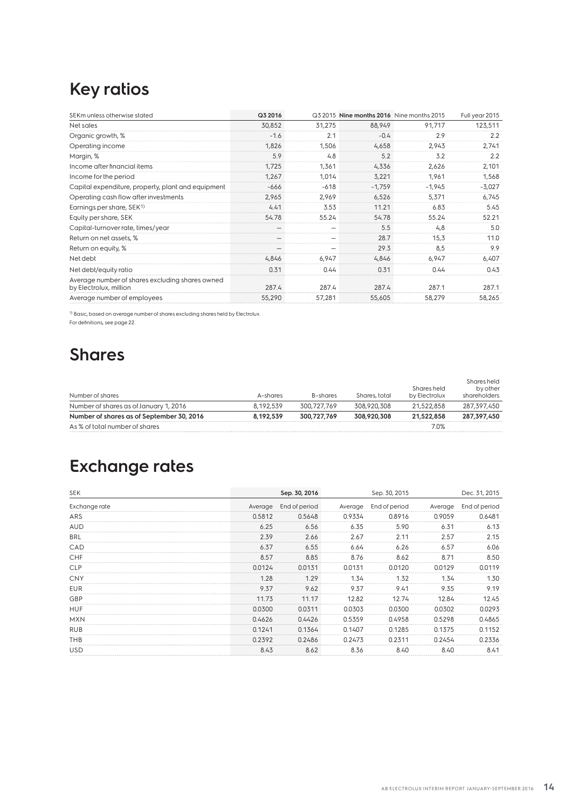### **Key ratios**

| SEKm unless otherwise stated                                              | Q3 2016 |        | Q3 2015 Nine months 2016 Nine months 2015 |          | Full year 2015 |
|---------------------------------------------------------------------------|---------|--------|-------------------------------------------|----------|----------------|
| Net sales                                                                 | 30,852  | 31,275 | 88,949                                    | 91,717   | 123,511        |
| Organic growth, %                                                         | $-1.6$  | 2.1    | $-0.4$                                    | 2.9      | 2.2            |
| Operating income                                                          | 1,826   | 1,506  | 4,658                                     | 2,943    | 2,741          |
| Margin, %                                                                 | 5.9     | 4.8    | 5.2                                       | 3.2      | 2.2            |
| Income after financial items                                              | 1,725   | 1,361  | 4,336                                     | 2,626    | 2,101          |
| Income for the period                                                     | 1,267   | 1,014  | 3,221                                     | 1,961    | 1,568          |
| Capital expenditure, property, plant and equipment                        | $-666$  | $-618$ | $-1,759$                                  | $-1,945$ | $-3,027$       |
| Operating cash flow after investments                                     | 2,965   | 2,969  | 6,526                                     | 5,371    | 6,745          |
| Earnings per share, SEK <sup>1)</sup>                                     | 4.41    | 3.53   | 11.21                                     | 6.83     | 5.45           |
| Equity per share, SEK                                                     | 54.78   | 55.24  | 54.78                                     | 55.24    | 52.21          |
| Capital-turnover rate, times/year                                         | —       |        | 5.5                                       | 4,8      | 5.0            |
| Return on net assets, %                                                   | —       | -      | 28.7                                      | 15,3     | 11.0           |
| Return on equity, %                                                       | -       |        | 29.3                                      | 8,5      | 9.9            |
| Net debt                                                                  | 4,846   | 6,947  | 4,846                                     | 6,947    | 6,407          |
| Net debt/equity ratio                                                     | 0.31    | 0.44   | 0.31                                      | 0.44     | 0.43           |
| Average number of shares excluding shares owned<br>by Electrolux, million | 287.4   | 287.4  | 287.4                                     | 287.1    | 287.1          |
| Average number of employees                                               | 55,290  | 57,281 | 55,605                                    | 58,279   | 58,265         |

1) Basic, based on average number of shares excluding shares held by Electrolux.

For definitions, see page 22.

### **Shares**

| Number of shares                          | A-shares  | B-shares    | Shares, total | Shares held<br>by Electrolux | Shares held<br>by other<br>shareholders |
|-------------------------------------------|-----------|-------------|---------------|------------------------------|-----------------------------------------|
| Number of shares as of January 1, 2016    | 8.192.539 | 300,727,769 | 308,920,308   | 21,522,858                   | 287,397,450                             |
| Number of shares as of September 30, 2016 | 8.192.539 | 300.727.769 | 308.920.308   | 21,522,858                   | 287,397,450                             |
| As % of total number of shares            |           |             |               | 7.0%                         |                                         |

## **Exchange rates**

| <b>SEK</b>    |         | Sep. 30, 2016 | Sep. 30, 2015 |               |         | Dec. 31, 2015 |
|---------------|---------|---------------|---------------|---------------|---------|---------------|
| Exchange rate | Average | End of period | Average       | End of period | Average | End of period |
| ARS           | 0.5812  | 0.5648        | 0.9334        | 0.8916        | 0.9059  | 0.6481        |
| <b>AUD</b>    | 6.25    | 6.56          | 6.35          | 5.90          | 6.31    | 6.13          |
| BRL           | 2.39    | 2.66          | 2.67          | 2.11          | 2.57    | 2.15          |
| CAD           | 6.37    | 6.55          | 6.64          | 6.26          | 6.57    | 6.06          |
| <b>CHF</b>    | 8.57    | 8.85          | 8.76          | 8.62          | 8.71    | 8.50          |
| <b>CLP</b>    | 0.0124  | 0.0131        | 0.0131        | 0.0120        | 0.0129  | 0.0119        |
| <b>CNY</b>    | 1.28    | 1.29          | 1.34          | 1.32          | 1.34    | 1.30          |
| <b>EUR</b>    | 9.37    | 9.62          | 9.37          | 9.41          | 9.35    | 9.19          |
| GBP           | 11.73   | 11.17         | 12.82         | 12.74         | 12.84   | 12.45         |
| <b>HUF</b>    | 0.0300  | 0.0311        | 0.0303        | 0.0300        | 0.0302  | 0.0293        |
| <b>MXN</b>    | 0.4626  | 0.4426        | 0.5359        | 0.4958        | 0.5298  | 0.4865        |
| <b>RUB</b>    | 0.1241  | 0.1364        | 0.1407        | 0.1285        | 0.1375  | 0.1152        |
| THB           | 0.2392  | 0.2486        | 0.2473        | 0.2311        | 0.2454  | 0.2336        |
| <b>USD</b>    | 8.43    | 8.62          | 8.36          | 8.40          | 8.40    | 8.41          |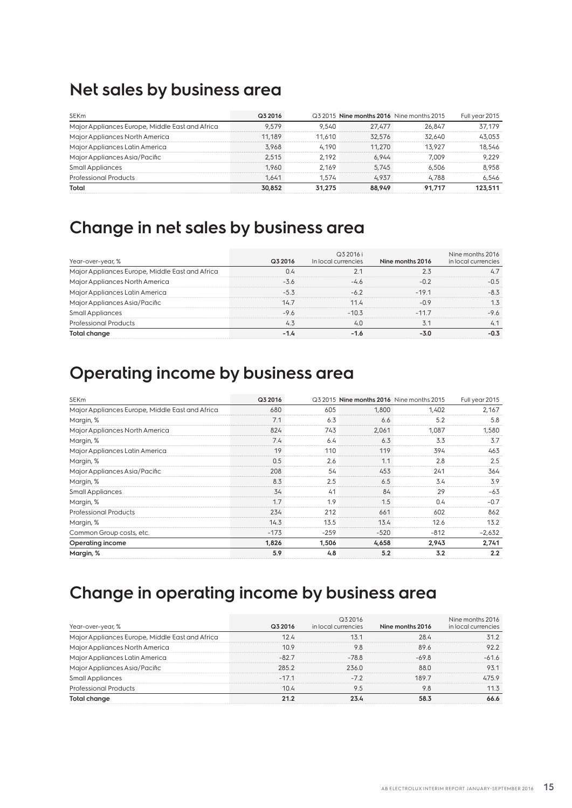### **Net sales by business area**

| <b>SEKm</b>                                     | Q3 2016 |        | Q3 2015 Nine months 2016 Nine months 2015 |        | Full year 2015 |
|-------------------------------------------------|---------|--------|-------------------------------------------|--------|----------------|
| Major Appliances Europe, Middle East and Africa | 9.579   | 9.540  | 27.477                                    | 26,847 | 37.179         |
| Major Appliances North America                  | 11.189  | 11.610 | 32,576                                    | 32,640 | 43.053         |
| Major Appliances Latin America                  | 3.968   | 4.190  | 11,270                                    | 13.927 | 18,546         |
| Major Appliances Asia/Pacific                   | 2.515   | 2.192  | 6.944                                     | 7.009  | 9.229          |
| Small Appliances                                | 1.960   | 2.169  | 5.745                                     | 6.506  | 8.958          |
| <b>Professional Products</b>                    | 1.641   | 1.574  | 4.937                                     | 4.788  | 6,546          |
| Total                                           | 30.852  | 31.275 | 88.949                                    | 91.717 | 123.511        |

### **Change in net sales by business area**

| Year-over-year, %                               | Q3 2016 | Q3 2016 i<br>In local currencies | Nine months 2016 | Nine months 2016<br>in local currencies |
|-------------------------------------------------|---------|----------------------------------|------------------|-----------------------------------------|
| Major Appliances Europe, Middle East and Africa | 0.4     |                                  | 2.3              | -4.7                                    |
| Major Appliances North America                  | $-36$   | -46                              | -0.2             | $-0.5$                                  |
| Major Appliances Latin America                  | $-5.3$  | $-62$                            | $-191$           | $-8.3$                                  |
| Major Appliances Asia/Pacific                   | 147     | 114                              | $-0.9$           |                                         |
| <b>Small Appliances</b>                         | $-96$   | $-10.3$                          | $-117$           | $-9.6$                                  |
| <b>Professional Products</b>                    | 4.3     | 4.0                              | 3.1              | 4.1                                     |
| <b>Total change</b>                             | $-1.4$  | -1.6                             | -30              | -0.3                                    |

### **Operating income by business area**

| SEKm                                            | Q3 2016 |        | Q3 2015 Nine months 2016 Nine months 2015 |        | Full year 2015 |
|-------------------------------------------------|---------|--------|-------------------------------------------|--------|----------------|
| Major Appliances Europe, Middle East and Africa | 680     | 605    | 1,800                                     | 1.402  | 2,167          |
| Margin, %                                       | 7.1     | 6.3    | 6.6                                       | 5.2    | 5.8            |
| Major Appliances North America                  | 824     | 743    | 2,061                                     | 1,087  | 1,580          |
| Margin, %                                       | 7.4     | 6.4    | 6.3                                       | 3.3    | 3.7            |
| Major Appliances Latin America                  | 19      | 110    | 119                                       | 394    | 463            |
| Margin, %                                       | 0.5     | 2.6    | 1.1                                       | 2.8    | 2.5            |
| Major Appliances Asia/Pacific                   | 208     | 54     | 453                                       | 241    | 364            |
| Margin, %                                       | 8.3     | 2.5    | 6.5                                       | 3.4    | 3.9            |
| <b>Small Appliances</b>                         | 34      | 41     | 84                                        | 29     | $-63$          |
| Margin, %                                       | 1.7     | 1.9    | 1.5                                       | 0.4    | $-0.7$         |
| <b>Professional Products</b>                    | 234     | 212    | 661                                       | 602    | 862            |
| Margin, %                                       | 14.3    | 13.5   | 13.4                                      | 12.6   | 13.2           |
| Common Group costs, etc.                        | $-173$  | $-259$ | $-520$                                    | $-812$ | $-2,632$       |
| Operating income                                | 1,826   | 1,506  | 4,658                                     | 2,943  | 2,741          |
| Margin, %                                       | 5.9     | 4.8    | 5.2                                       | 3.2    | 2.2            |

### **Change in operating income by business area**

| Year-over-year, %                               | Q3 2016 | Q3 2016<br>in local currencies | Nine months 2016 | Nine months 2016<br>in local currencies |
|-------------------------------------------------|---------|--------------------------------|------------------|-----------------------------------------|
| Major Appliances Europe, Middle East and Africa | 12.4    | 13.1                           | 28.4             | 312                                     |
| Major Appliances North America                  | 10.9    | 9.8                            | 89.6             | 92.2                                    |
| Major Appliances Latin America                  | $-827$  | $-788$                         | $-698$           | $-61.6$                                 |
| Major Appliances Asia/Pacific                   | 285.2   | 236.0                          | 88.0             | 93.1                                    |
| <b>Small Appliances</b>                         | $-171$  | $-72$                          | 1897             | 475.9                                   |
| <b>Professional Products</b>                    | 10.4    | 9.5                            | 9.8              | 11.3                                    |
| <b>Total change</b>                             | 21.2    | 23.4                           | 58.3             | 66.6                                    |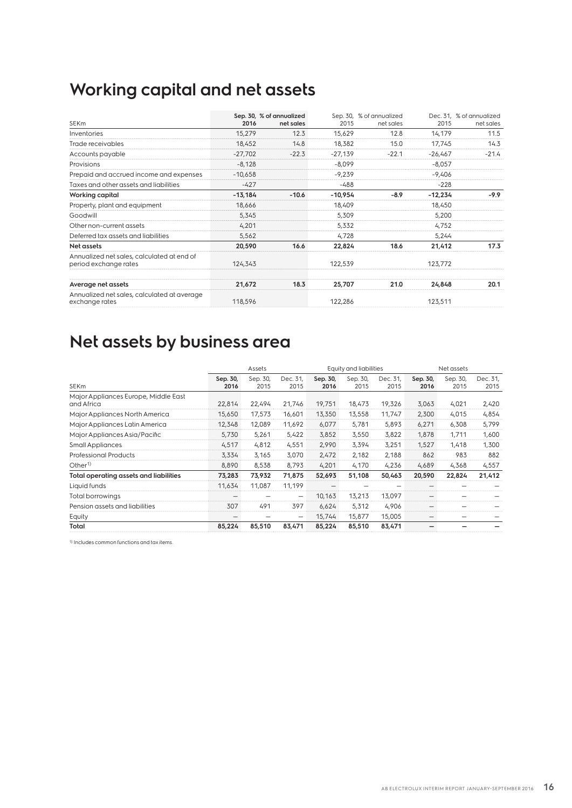### **Working capital and net assets**

| <b>SEKm</b>                                                         | 2016      | Sep. 30, % of annualized<br>net sales | 2015      | Sep. 30, % of annualized<br>net sales | 2015      | Dec. 31. % of annualized<br>net sales |
|---------------------------------------------------------------------|-----------|---------------------------------------|-----------|---------------------------------------|-----------|---------------------------------------|
| Inventories                                                         | 15,279    | 12.3                                  | 15,629    | 12.8                                  | 14,179    | 11.5                                  |
| Trade receivables                                                   | 18,452    | 14.8                                  | 18,382    | 15.0                                  | 17,745    | 14.3                                  |
| Accounts payable                                                    | $-27,702$ | $-22.3$                               | $-27,139$ | $-22.1$                               | $-26,467$ | $-21.4$                               |
| Provisions                                                          | $-8,128$  |                                       | $-8,099$  |                                       | $-8,057$  |                                       |
| Prepaid and accrued income and expenses                             | $-10,658$ |                                       | $-9,239$  |                                       | $-9,406$  |                                       |
| Taxes and other assets and liabilities                              | $-427$    |                                       | $-488$    |                                       | $-228$    |                                       |
| Working capital                                                     | $-13,184$ | $-10.6$                               | $-10,954$ | $-8.9$                                | $-12,234$ | $-9.9$                                |
| Property, plant and equipment                                       | 18,666    |                                       | 18,409    |                                       | 18,450    |                                       |
| Goodwill                                                            | 5,345     |                                       | 5,309     |                                       | 5,200     |                                       |
| Other non-current assets                                            | 4,201     |                                       | 5,332     |                                       | 4,752     |                                       |
| Deferred tax assets and liabilities                                 | 5,562     |                                       | 4,728     |                                       | 5,244     |                                       |
| Net assets                                                          | 20,590    | 16.6                                  | 22,824    | 18.6                                  | 21,412    | 17.3                                  |
| Annualized net sales, calculated at end of<br>period exchange rates | 124,343   |                                       | 122,539   |                                       | 123,772   |                                       |
| Average net assets                                                  | 21,672    | 18.3                                  | 25,707    | 21.0                                  | 24,848    | 20.1                                  |
| Annualized net sales, calculated at average<br>exchange rates       | 118,596   |                                       | 122,286   |                                       | 123,511   |                                       |

### **Net assets by business area**

|                                                    |                  | Assets           |                  | Equity and liabilities |                  |                  | Net assets       |                  |                  |
|----------------------------------------------------|------------------|------------------|------------------|------------------------|------------------|------------------|------------------|------------------|------------------|
| SEKm                                               | Sep. 30,<br>2016 | Sep. 30,<br>2015 | Dec. 31,<br>2015 | Sep. 30,<br>2016       | Sep. 30,<br>2015 | Dec. 31,<br>2015 | Sep. 30,<br>2016 | Sep. 30,<br>2015 | Dec. 31,<br>2015 |
| Major Appliances Europe, Middle East<br>and Africa | 22,814           | 22,494           | 21,746           | 19,751                 | 18,473           | 19,326           | 3,063            | 4,021            | 2,420            |
| Major Appliances North America                     | 15,650           | 17,573           | 16,601           | 13,350                 | 13,558           | 11,747           | 2,300            | 4,015            | 4,854            |
| Major Appliances Latin America                     | 12,348           | 12,089           | 11,692           | 6,077                  | 5,781            | 5,893            | 6,271            | 6,308            | 5,799            |
| Major Appliances Asia/Pacific                      | 5,730            | 5,261            | 5,422            | 3,852                  | 3,550            | 3,822            | 1,878            | 1,711            | 1,600            |
| <b>Small Appliances</b>                            | 4,517            | 4,812            | 4,551            | 2,990                  | 3.394            | 3,251            | 1,527            | 1,418            | 1,300            |
| <b>Professional Products</b>                       | 3,334            | 3,165            | 3,070            | 2,472                  | 2,182            | 2,188            | 862              | 983              | 882              |
| Other <sup>1</sup>                                 | 8,890            | 8,538            | 8,793            | 4,201                  | 4,170            | 4,236            | 4,689            | 4,368            | 4,557            |
| Total operating assets and liabilities             | 73,283           | 73,932           | 71,875           | 52,693                 | 51,108           | 50,463           | 20,590           | 22,824           | 21,412           |
| Liquid funds                                       | 11,634           | 11,087           | 11,199           |                        |                  |                  |                  |                  |                  |
| Total borrowings                                   |                  |                  | -                | 10,163                 | 13,213           | 13,097           | -                |                  |                  |
| Pension assets and liabilities                     | 307              | 491              | 397              | 6,624                  | 5,312            | 4,906            |                  |                  |                  |
| Equity                                             |                  |                  | -                | 15,744                 | 15,877           | 15,005           | -                |                  |                  |
| Total                                              | 85,224           | 85,510           | 83,471           | 85,224                 | 85,510           | 83,471           |                  |                  |                  |

1) Includes common functions and tax items.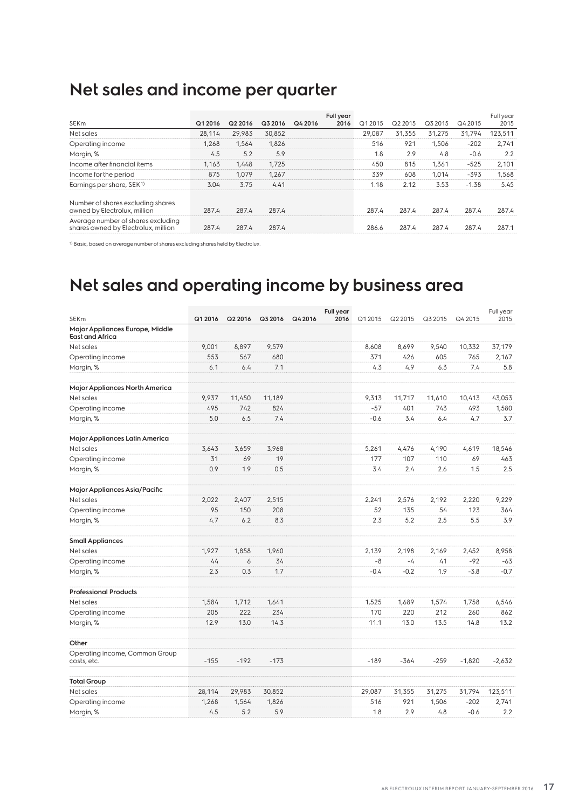### **Net sales and income per quarter**

|                                                                           |         |         |         |         | Full year |         |         |         |         | Full year |
|---------------------------------------------------------------------------|---------|---------|---------|---------|-----------|---------|---------|---------|---------|-----------|
| <b>SEKm</b>                                                               | Q1 2016 | Q2 2016 | Q3 2016 | Q4 2016 | 2016      | Q1 2015 | Q2 2015 | Q3 2015 | Q4 2015 | 2015      |
| Net sales                                                                 | 28.114  | 29,983  | 30.852  |         |           | 29.087  | 31,355  | 31,275  | 31.794  | 123,511   |
| Operating income                                                          | 1.268   | 1.564   | 1.826   |         |           | 516     | 921     | 1,506   | $-202$  | 2.741     |
| Margin, %                                                                 | 4.5     | 5.2     | 5.9     |         |           | 1.8     | 2.9     | 4.8     | $-0.6$  | 2.2       |
| Income after financial items                                              | 1.163   | 1.448   | 1,725   |         |           | 450     | 815     | 1.361   | $-525$  | 2,101     |
| Income for the period                                                     | 875     | 1.079   | 1.267   |         |           | 339     | 608     | 1.014   | $-393$  | 1,568     |
| Earnings per share, SEK <sup>1)</sup>                                     | 3.04    | 3.75    | 4.41    |         |           | 1.18    | 2.12    | 3.53    | $-1.38$ | 5.45      |
| Number of shares excluding shares<br>owned by Electrolux, million         | 287.4   | 287.4   | 287.4   |         |           | 287.4   | 287.4   | 287.4   | 287.4   | 287.4     |
| Average number of shares excluding<br>shares owned by Electrolux, million | 287.4   | 287.4   | 287.4   |         |           | 286.6   | 287.4   | 287.4   | 287.4   | 287.1     |

1) Basic, based on average number of shares excluding shares held by Electrolux.

### **Net sales and operating income by business area**

|                                                           |         |         |         |         | Full year |         |         |         |          | Full year |
|-----------------------------------------------------------|---------|---------|---------|---------|-----------|---------|---------|---------|----------|-----------|
| <b>SEKm</b>                                               | Q1 2016 | Q2 2016 | Q3 2016 | Q4 2016 | 2016      | Q1 2015 | Q2 2015 | Q3 2015 | Q4 2015  | 2015      |
| Major Appliances Europe, Middle<br><b>East and Africa</b> |         |         |         |         |           |         |         |         |          |           |
| Net sales                                                 | 9,001   | 8,897   | 9,579   |         |           | 8,608   | 8,699   | 9,540   | 10,332   | 37,179    |
| Operating income                                          | 553     | 567     | 680     |         |           | 371     | 426     | 605     | 765      | 2,167     |
| Margin, %                                                 | 6.1     | 6.4     | 7.1     |         |           | 4.3     | 4.9     | 6.3     | 7.4      | 5.8       |
| Major Appliances North America                            |         |         |         |         |           |         |         |         |          |           |
| Net sales                                                 | 9,937   | 11,450  | 11,189  |         |           | 9,313   | 11,717  | 11,610  | 10,413   | 43,053    |
| Operating income                                          | 495     | 742     | 824     |         |           | $-57$   | 401     | 743     | 493      | 1,580     |
| Margin, %                                                 | 5.0     | 6.5     | 7.4     |         |           | $-0.6$  | 3.4     | 6.4     | 4.7      | 3.7       |
| Major Appliances Latin America                            |         |         |         |         |           |         |         |         |          |           |
| Net sales                                                 | 3,643   | 3,659   | 3,968   |         |           | 5,261   | 4,476   | 4,190   | 4,619    | 18,546    |
| Operating income                                          | 31      | 69      | 19      |         |           | 177     | 107     | 110     | 69       | 463       |
| Margin, %                                                 | 0.9     | 1.9     | 0.5     |         |           | 3.4     | 2.4     | 2.6     | 1.5      | 2.5       |
| Major Appliances Asia/Pacific                             |         |         |         |         |           |         |         |         |          |           |
| Net sales                                                 | 2,022   | 2,407   | 2,515   |         |           | 2,241   | 2,576   | 2,192   | 2,220    | 9,229     |
| Operating income                                          | 95      | 150     | 208     |         |           | 52      | 135     | 54      | 123      | 364       |
| Margin, %                                                 | 4.7     | 6.2     | 8.3     |         |           | 2.3     | 5.2     | 2.5     | 5.5      | 3.9       |
| <b>Small Appliances</b>                                   |         |         |         |         |           |         |         |         |          |           |
| Net sales                                                 | 1,927   | 1,858   | 1,960   |         |           | 2,139   | 2,198   | 2,169   | 2,452    | 8,958     |
| Operating income                                          | 44      | 6       | 34      |         |           | $-8$    | $-4$    | 41      | $-92$    | $-63$     |
| Margin, %                                                 | 2.3     | 0.3     | 1.7     |         |           | $-0.4$  | $-0.2$  | 1.9     | $-3.8$   | $-0.7$    |
| <b>Professional Products</b>                              |         |         |         |         |           |         |         |         |          |           |
| Net sales                                                 | 1,584   | 1,712   | 1,641   |         |           | 1,525   | 1,689   | 1,574   | 1,758    | 6,546     |
| Operating income                                          | 205     | 222     | 234     |         |           | 170     | 220     | 212     | 260      | 862       |
| Margin, %                                                 | 12.9    | 13.0    | 14.3    |         |           | 11.1    | 13.0    | 13.5    | 14.8     | 13.2      |
| Other                                                     |         |         |         |         |           |         |         |         |          |           |
| Operating income, Common Group<br>costs, etc.             | $-155$  | $-192$  | $-173$  |         |           | $-189$  | $-364$  | $-259$  | $-1,820$ | $-2,632$  |
| <b>Total Group</b>                                        |         |         |         |         |           |         |         |         |          |           |
| Net sales                                                 | 28,114  | 29,983  | 30,852  |         |           | 29,087  | 31,355  | 31,275  | 31,794   | 123,511   |
| Operating income                                          | 1,268   | 1,564   | 1,826   |         |           | 516     | 921     | 1,506   | $-202$   | 2,741     |
| Margin, %                                                 | 4.5     | 5.2     | 5.9     |         |           | 1.8     | 2.9     | 4.8     | $-0.6$   | 2.2       |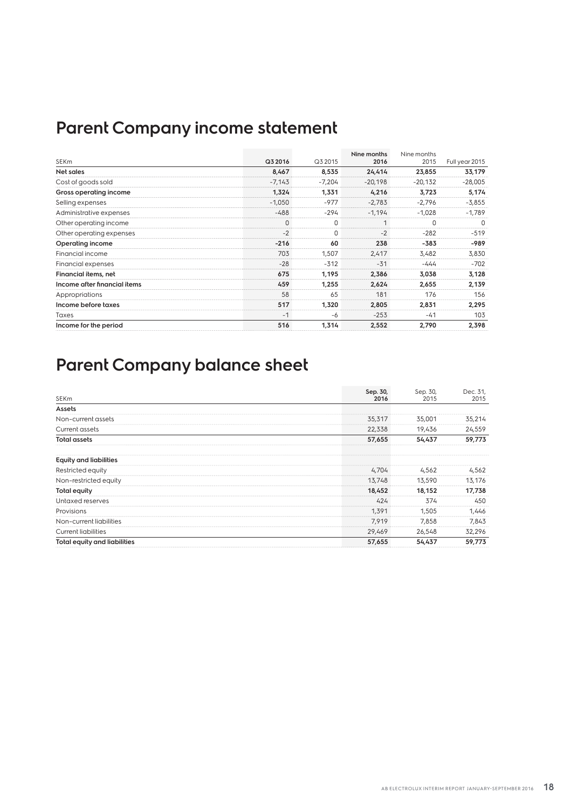### **Parent Company income statement**

| <b>SEKm</b>                  | Q3 2016  | Q3 2015  | Nine months<br>2016 | Nine months |                |
|------------------------------|----------|----------|---------------------|-------------|----------------|
|                              |          |          |                     | 2015        | Full year 2015 |
| Net sales                    | 8,467    | 8,535    | 24,414              | 23,855      | 33,179         |
| Cost of goods sold           | $-7,143$ | $-7,204$ | $-20,198$           | $-20,132$   | $-28,005$      |
| Gross operating income       | 1,324    | 1,331    | 4,216               | 3,723       | 5,174          |
| Selling expenses             | $-1,050$ | $-977$   | $-2,783$            | $-2,796$    | $-3,855$       |
| Administrative expenses      | $-488$   | $-294$   | $-1.194$            | $-1,028$    | $-1,789$       |
| Other operating income       | 0        | 0        |                     | $\Omega$    | $\Omega$       |
| Other operating expenses     | $-2$     | $\Omega$ | $-2$                | $-282$      | $-519$         |
| Operating income             | $-216$   | 60       | 238                 | -383        | -989           |
| Financial income             | 703      | 1,507    | 2,417               | 3,482       | 3,830          |
| Financial expenses           | $-28$    | $-312$   | $-31$               | -444        | $-702$         |
| Financial items, net         | 675      | 1,195    | 2,386               | 3,038       | 3,128          |
| Income after financial items | 459      | 1,255    | 2,624               | 2,655       | 2,139          |
| Appropriations               | 58       | 65       | 181                 | 176         | 156            |
| Income before taxes          | 517      | 1,320    | 2,805               | 2,831       | 2,295          |
| Taxes                        | $-1$     | -6       | $-253$              | -41         | 103            |
| Income for the period        | 516      | 1,314    | 2,552               | 2,790       | 2,398          |

### **Parent Company balance sheet**

| SEKm                          | Sep. 30,<br>2016 | Sep. 30,<br>2015 | Dec. 31,<br>2015 |
|-------------------------------|------------------|------------------|------------------|
| Assets                        |                  |                  |                  |
| Non-current assets            | 35,317           | 35,001           | 35,214           |
| Current assets                | 22,338           | 19,436           | 24,559           |
| <b>Total assets</b>           | 57,655           | 54,437           | 59,773           |
| <b>Equity and liabilities</b> |                  |                  |                  |
| Restricted equity             | 4,704            | 4,562            | 4,562            |
| Non-restricted equity         | 13,748           | 13,590           | 13,176           |
| Total equity                  | 18,452           | 18,152           | 17,738           |
| Untaxed reserves              | 424              | 374              | 450              |
| Provisions                    | 1,391            | 1,505            | 1,446            |
| Non-current liabilities       | 7,919            | 7,858            | 7,843            |
| <b>Current liabilities</b>    | 29,469           | 26,548           | 32,296           |
| Total equity and liabilities  | 57,655           | 54,437           | 59,773           |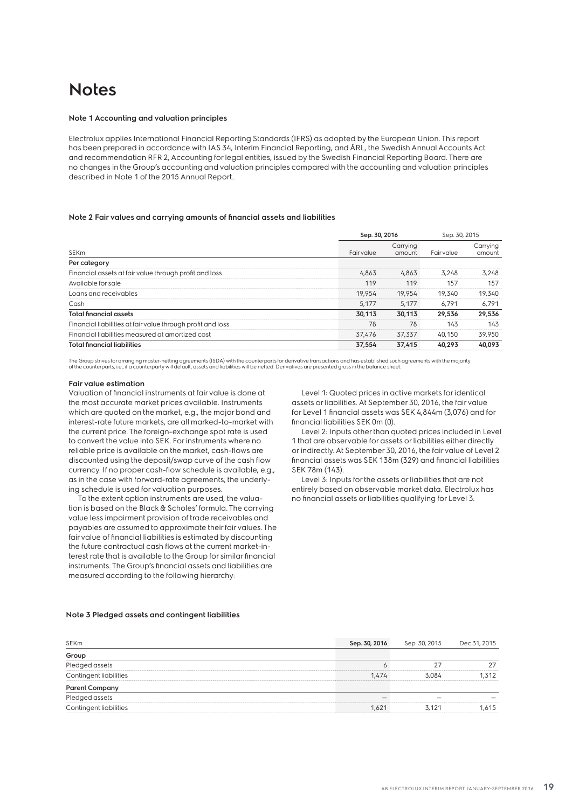### **Notes**

#### **Note 1 Accounting and valuation principles**

Electrolux applies International Financial Reporting Standards (IFRS) as adopted by the European Union. This report has been prepared in accordance with IAS 34, Interim Financial Reporting, and ÅRL, the Swedish Annual Accounts Act and recommendation RFR 2, Accounting for legal entities, issued by the Swedish Financial Reporting Board. There are no changes in the Group's accounting and valuation principles compared with the accounting and valuation principles described in Note 1 of the 2015 Annual Report..

#### **Note 2 Fair values and carrying amounts of financial assets and liabilities**

|                                                             | Sep. 30, 2016 |                    | Sep. 30, 2015 |                    |
|-------------------------------------------------------------|---------------|--------------------|---------------|--------------------|
| <b>SEKm</b>                                                 | Fair value    | Carrying<br>amount | Fairvalue     | Carrying<br>amount |
| Per category                                                |               |                    |               |                    |
| Financial assets at fair value through profit and loss      | 4,863         | 4,863              | 3.248         | 3.248              |
| Available for sale                                          | 119           | 119                | 157           | 157                |
| Loans and receivables                                       | 19,954        | 19,954             | 19,340        | 19,340             |
| Cash                                                        | 5.177         | 5.177              | 6.791         | 6,791              |
| <b>Total financial assets</b>                               | 30.113        | 30.113             | 29.536        | 29,536             |
| Financial liabilities at fair value through profit and loss | 78            | 78                 | 143           | 143                |
| Financial liabilities measured at amortized cost            | 37,476        | 37,337             | 40,150        | 39,950             |
| <b>Total financial liabilities</b>                          | 37,554        | 37,415             | 40.293        | 40,093             |

The Group strives for arranging master-netting agreements (ISDA) with the counterparts for derivative transactions and has established such agreements with the majority<br>of the counterparts, i.e., if a counterparty will def

#### **Fair value estimation**

Valuation of financial instruments at fair value is done at the most accurate market prices available. Instruments which are quoted on the market, e.g., the major bond and interest-rate future markets, are all marked-to-market with the current price. The foreign-exchange spot rate is used to convert the value into SEK. For instruments where no reliable price is available on the market, cash-flows are discounted using the deposit/swap curve of the cash flow currency. If no proper cash-flow schedule is available, e.g., as in the case with forward-rate agreements, the underlying schedule is used for valuation purposes.

To the extent option instruments are used, the valuation is based on the Black & Scholes' formula. The carrying value less impairment provision of trade receivables and payables are assumed to approximate their fair values. The fair value of financial liabilities is estimated by discounting the future contractual cash flows at the current market-interest rate that is available to the Group for similar financial instruments. The Group's financial assets and liabilities are measured according to the following hierarchy:

Level 1: Quoted prices in active markets for identical assets or liabilities. At September 30, 2016, the fair value for Level 1 financial assets was SEK 4,844m (3,076) and for financial liabilities SEK 0m (0).

Level 2: Inputs other than quoted prices included in Level 1 that are observable for assets or liabilities either directly or indirectly. At September 30, 2016, the fair value of Level 2 financial assets was SEK 138m (329) and financial liabilities SEK 78m (143).

Level 3: Inputs for the assets or liabilities that are not entirely based on observable market data. Electrolux has no financial assets or liabilities qualifying for Level 3.

| <b>SEKm</b>            | Sep. 30, 2016 | Sep. 30, 2015 | Dec.31, 2015 |
|------------------------|---------------|---------------|--------------|
| Group                  |               |               |              |
| Pledged assets         |               |               | 27           |
| Contingent liabilities | 1.474         | 3.084         | 1.312        |
| <b>Parent Company</b>  |               |               |              |
| Pledged assets         |               |               |              |
| Contingent liabilities | 1.621         | 3.121         | 1.615        |

#### **Note 3 Pledged assets and contingent liabilities**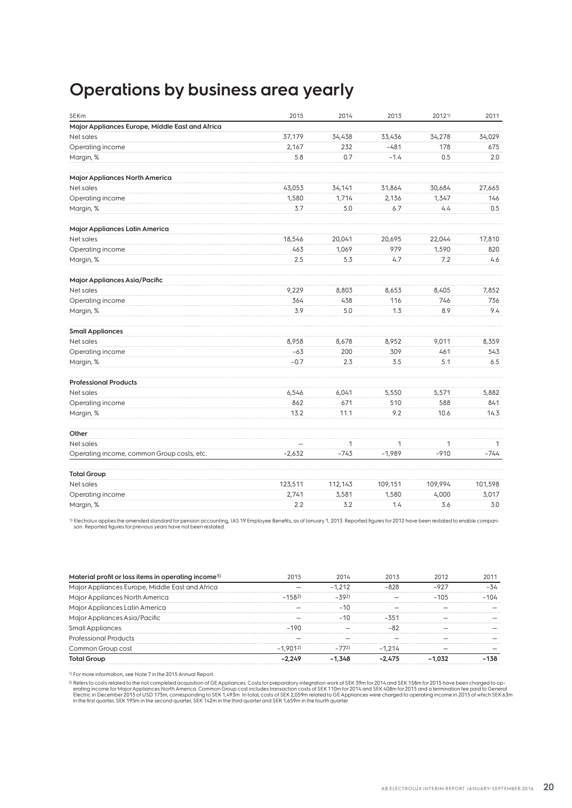### **Operations by business area yearly**

| SEKm                                            | 2015     | 2014    | 2013         | 20121)  | 2011    |
|-------------------------------------------------|----------|---------|--------------|---------|---------|
| Major Appliances Europe, Middle East and Africa |          |         |              |         |         |
| Net sales                                       | 37,179   | 34,438  | 33,436       | 34,278  | 34,029  |
| Operating income                                | 2,167    | 232     | $-481$       | 178     | 675     |
| Margin, %                                       | 5.8      | 0.7     | $-1.4$       | 0.5     | 2.0     |
| Major Appliances North America                  |          |         |              |         |         |
| Net sales                                       | 43,053   | 34,141  | 31,864       | 30,684  | 27,665  |
| Operating income                                | 1,580    | 1,714   | 2,136        | 1,347   | 146     |
| Margin, %                                       | 3.7      | 5.0     | 6.7          | 4.4     | 0.5     |
| Major Appliances Latin America                  |          |         |              |         |         |
| Net sales                                       | 18,546   | 20,041  | 20,695       | 22,044  | 17,810  |
| Operating income                                | 463      | 1,069   | 979          | 1,590   | 820     |
| Margin, %                                       | 2.5      | 5.3     | 4.7          | 7.2     | 4.6     |
| Major Appliances Asia/Pacific                   |          |         |              |         |         |
| Net sales                                       | 9,229    | 8,803   | 8,653        | 8,405   | 7,852   |
| Operating income                                | 364      | 438     | 116          | 746     | 736     |
| Margin, %                                       | 3.9      | 5.0     | 1.3          | 8.9     | 9.4     |
| <b>Small Appliances</b>                         |          |         |              |         |         |
| Net sales                                       | 8,958    | 8,678   | 8,952        | 9,011   | 8,359   |
| Operating income                                | $-63$    | 200     | 309          | 461     | 543     |
| Margin, %                                       | $-0.7$   | 2.3     | 3.5          | 5.1     | 6.5     |
| <b>Professional Products</b>                    |          |         |              |         |         |
| Net sales                                       | 6,546    | 6,041   | 5,550        | 5,571   | 5,882   |
| Operating income                                | 862      | 671     | 510          | 588     | 841     |
| Margin, %                                       | 13.2     | 11.1    | 9.2          | 10.6    | 14.3    |
| Other                                           |          |         |              |         |         |
| Net sales                                       |          | 1       | $\mathbf{1}$ | 1       | 1       |
| Operating income, common Group costs, etc.      | $-2,632$ | $-743$  | $-1,989$     | $-910$  | $-744$  |
| <b>Total Group</b>                              |          |         |              |         |         |
| Net sales                                       | 123,511  | 112,143 | 109,151      | 109,994 | 101,598 |
| Operating income                                | 2,741    | 3,581   | 1,580        | 4,000   | 3,017   |
| Margin, %                                       | 2.2      | 3.2     | 1.4          | 3.6     | 3.0     |

1) Electrolux applies the amended standard for pension accounting, IAS 19 Employee Benefits, as of January 1, 2013. Reported figures for 2012 have been restated to enable compari-<br>son. Reported figures for previous years h

| Material profit or loss items in operating income <sup>1)</sup> | 2015      | 2014     | 2013     | 2012     | 2011    |
|-----------------------------------------------------------------|-----------|----------|----------|----------|---------|
| Major Appliances Europe, Middle East and Africa                 |           | $-1.212$ | $-828$   | $-927$   | $-34$   |
| Major Appliances North America                                  | $-1582$   | $-392$   |          | $-10.5$  | $-104$  |
| Major Appliances Latin America                                  |           | $-10$    |          |          |         |
| Major Appliances Asia/Pacific                                   |           | $-10$    | $-351$   |          |         |
| <b>Small Appliances</b>                                         | $-190$    |          | -82      |          |         |
| <b>Professional Products</b>                                    |           |          |          |          |         |
| Common Group cost                                               | $-1.9012$ | $-772)$  | $-1.214$ |          |         |
| <b>Total Group</b>                                              | $-2.249$  | $-1.348$ | $-2.475$ | $-1.032$ | $-1.38$ |

1) For more information, see Note 7 in the 2015 Annual Report..

2) Refers to costs related to the not completed acquisition of GE Appliances. Costs for preparatory integration work of SEK 39m for 2014 and SEK 158m for 2015 have been charged to op-<br>Electric in December 2015 of USD 175m,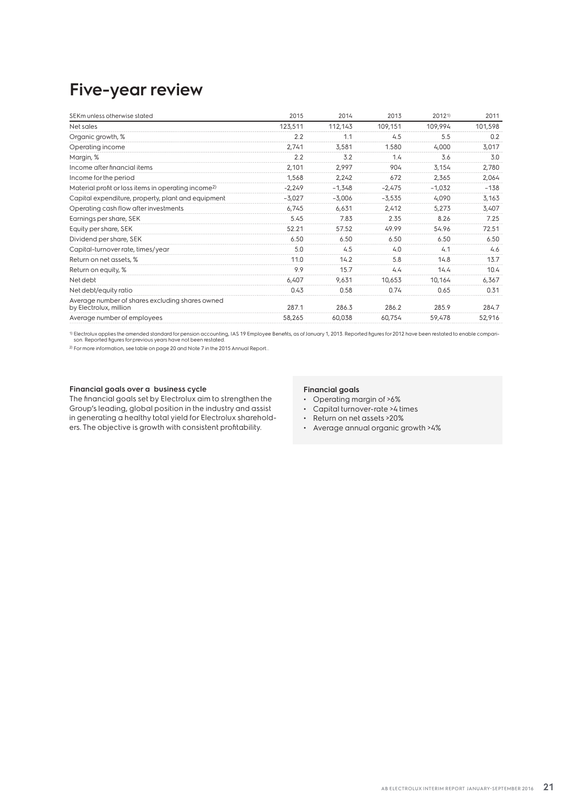### **Five-year review**

| SEKm unless otherwise stated                                              | 2015     | 2014     | 2013     | 20121)   | 2011    |
|---------------------------------------------------------------------------|----------|----------|----------|----------|---------|
| Net sales                                                                 | 123,511  | 112,143  | 109,151  | 109,994  | 101,598 |
| Organic growth, %                                                         | 2.2      | 1.1      | 4.5      | 5.5      | 0.2     |
| Operating income                                                          | 2,741    | 3,581    | 1.580    | 4,000    | 3,017   |
| Margin, %                                                                 | 2.2      | 3.2      | 1.4      | 3.6      | 3.0     |
| Income after financial items                                              | 2,101    | 2,997    | 904      | 3,154    | 2,780   |
| Income for the period                                                     | 1,568    | 2,242    | 672      | 2,365    | 2,064   |
| Material profit or loss items in operating income <sup>2)</sup>           | $-2,249$ | $-1,348$ | $-2,475$ | $-1,032$ | $-138$  |
| Capital expenditure, property, plant and equipment                        | $-3,027$ | $-3,006$ | $-3,535$ | 4,090    | 3,163   |
| Operating cash flow after investments                                     | 6,745    | 6,631    | 2,412    | 5,273    | 3,407   |
| Earnings per share, SEK                                                   | 5.45     | 7.83     | 2.35     | 8.26     | 7.25    |
| Equity per share, SEK                                                     | 52.21    | 57.52    | 49.99    | 54.96    | 72.51   |
| Dividend per share, SEK                                                   | 6.50     | 6.50     | 6.50     | 6.50     | 6.50    |
| Capital-turnover rate, times/year                                         | 5.0      | 4.5      | 4.0      | 4.1      | 4.6     |
| Return on net assets, %                                                   | 11.0     | 14.2     | 5.8      | 14.8     | 13.7    |
| Return on equity, %                                                       | 9.9      | 15.7     | 4.4      | 14.4     | 10.4    |
| Net debt                                                                  | 6,407    | 9,631    | 10,653   | 10,164   | 6,367   |
| Net debt/equity ratio                                                     | 0.43     | 0.58     | 0.74     | 0.65     | 0.31    |
| Average number of shares excluding shares owned<br>by Electrolux, million | 287.1    | 286.3    | 286.2    | 285.9    | 284.7   |
| Average number of employees                                               | 58,265   | 60,038   | 60,754   | 59,478   | 52,916  |

<sup>1)</sup> Electrolux applies the amended standard for pension accounting, IAS 19 Employee Benefits, as of January 1, 2013. Reported figures for 2012 have been restated to enable compari-<br>son. Reported figures for previous years

2) For more information, see table on page 20 and Note 7 in the 2015 Annual Report...

### **Financial goals over a business cycle**

The financial goals set by Electrolux aim to strengthen the Group's leading, global position in the industry and assist in generating a healthy total yield for Electrolux shareholders. The objective is growth with consistent profitability.

### **Financial goals**

- Operating margin of >6%
- Capital turnover-rate >4 times
- Return on net assets >20%
- Average annual organic growth >4%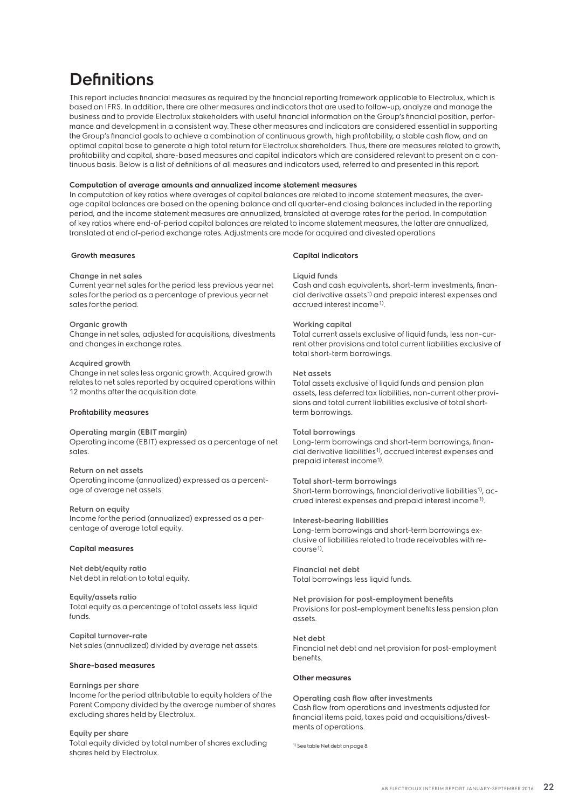### **Definitions**

This report includes financial measures as required by the financial reporting framework applicable to Electrolux, which is based on IFRS. In addition, there are other measures and indicators that are used to follow-up, analyze and manage the business and to provide Electrolux stakeholders with useful financial information on the Group's financial position, performance and development in a consistent way. These other measures and indicators are considered essential in supporting the Group's financial goals to achieve a combination of continuous growth, high profitability, a stable cash flow, and an optimal capital base to generate a high total return for Electrolux shareholders. Thus, there are measures related to growth, profitability and capital, share-based measures and capital indicators which are considered relevant to present on a continuous basis. Below is a list of definitions of all measures and indicators used, referred to and presented in this report.

### **Computation of average amounts and annualized income statement measures**

In computation of key ratios where averages of capital balances are related to income statement measures, the average capital balances are based on the opening balance and all quarter-end closing balances included in the reporting period, and the income statement measures are annualized, translated at average rates for the period. In computation of key ratios where end-of-period capital balances are related to income statement measures, the latter are annualized, translated at end of-period exchange rates. Adjustments are made for acquired and divested operations

### **Growth measures**

### **Change in net sales**

Current year net sales for the period less previous year net sales for the period as a percentage of previous year net sales for the period.

### **Organic growth**

Change in net sales, adjusted for acquisitions, divestments and changes in exchange rates.

#### **Acquired growth**

Change in net sales less organic growth. Acquired growth relates to net sales reported by acquired operations within 12 months after the acquisition date.

### **Profitability measures**

**Operating margin (EBIT margin)** Operating income (EBIT) expressed as a percentage of net sales.

**Return on net assets** Operating income (annualized) expressed as a percentage of average net assets.

**Return on equity** Income for the period (annualized) expressed as a percentage of average total equity.

### **Capital measures**

**Net debt/equity ratio** Net debt in relation to total equity.

**Equity/assets ratio** Total equity as a percentage of total assets less liquid funds.

**Capital turnover-rate** Net sales (annualized) divided by average net assets.

### **Share-based measures**

#### **Earnings per share**

Income for the period attributable to equity holders of the Parent Company divided by the average number of shares excluding shares held by Electrolux.

#### **Equity per share**

Total equity divided by total number of shares excluding shares held by Electrolux.

#### **Capital indicators**

### **Liquid funds**

Cash and cash equivalents, short-term investments, financial derivative assets<sup>1)</sup> and prepaid interest expenses and accrued interest income<sup>1)</sup>.

#### **Working capital**

Total current assets exclusive of liquid funds, less non-current other provisions and total current liabilities exclusive of total short-term borrowings.

### **Net assets**

Total assets exclusive of liquid funds and pension plan assets, less deferred tax liabilities, non-current other provisions and total current liabilities exclusive of total shortterm borrowings.

#### **Total borrowings**

Long-term borrowings and short-term borrowings, financial derivative liabilities1), accrued interest expenses and prepaid interest income1).

#### **Total short-term borrowings**

Short-term borrowings, financial derivative liabilities<sup>1)</sup>, accrued interest expenses and prepaid interest income1).

### **Interest-bearing liabilities**

Long-term borrowings and short-term borrowings exclusive of liabilities related to trade receivables with recourse1).

**Financial net debt** Total borrowings less liquid funds.

**Net provision for post-employment benefits** Provisions for post-employment benefits less pension plan assets.

#### **Net debt**

Financial net debt and net provision for post-employment benefits.

### **Other measures**

**Operating cash flow after investments** Cash flow from operations and investments adjusted for financial items paid, taxes paid and acquisitions/divestments of operations.

1) See table Net debt on page 8.